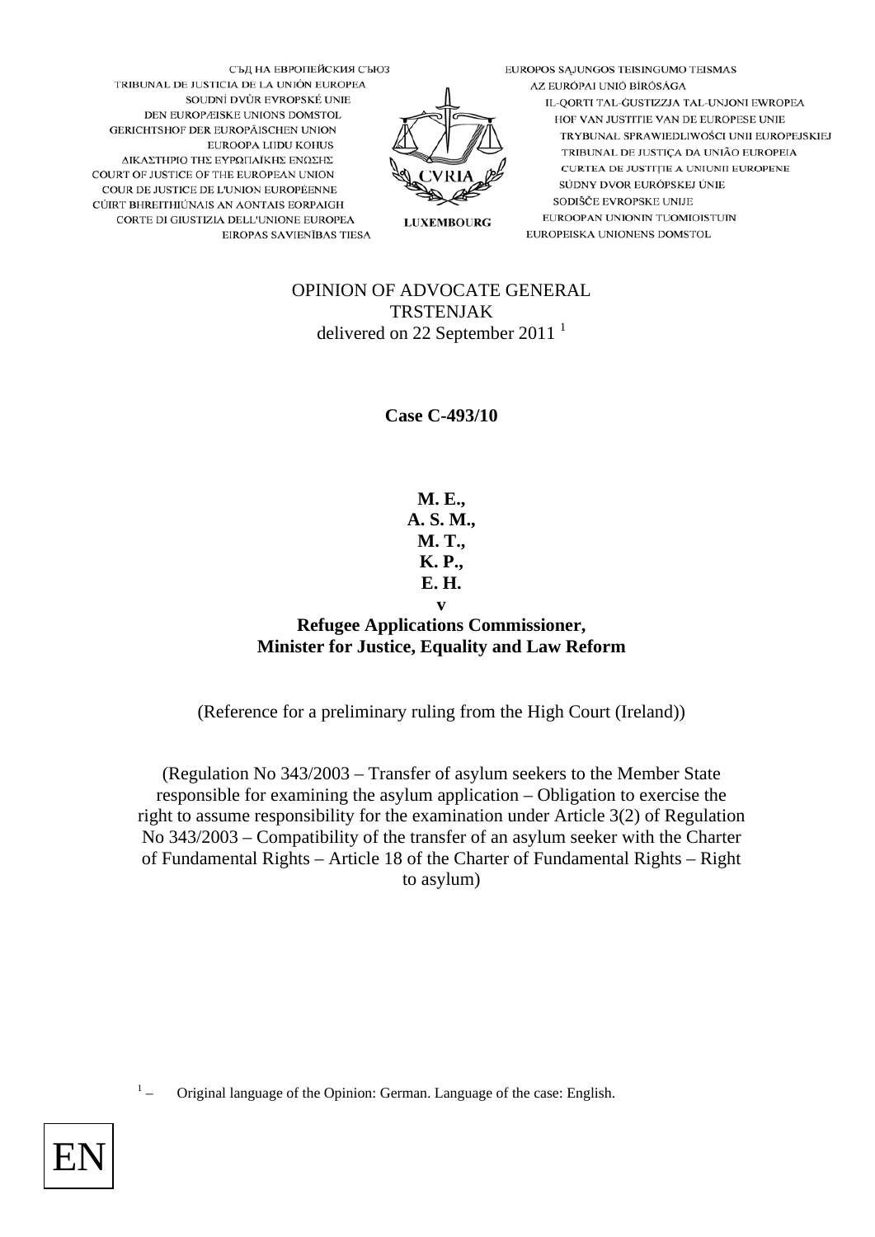EUROPOS SĄJUNGOS TEISINGUMO TEISMAS AZ EURÓPAI UNIÓ BÍRÓSÁGA IL-QORTI TAL-GUSTIZZJA TAL-UNJONI EWROPEA HOF VAN JUSTITIE VAN DE EUROPESE UNIE TRYBUNAŁ SPRAWIEDLIWOŚCI UNII EUROPEJSKIEJ TRIBUNAL DE JUSTIÇA DA UNIÃO EUROPEIA CURTEA DE JUSTIȚIE A UNIUNII EUROPENE SÚDNY DVOR EURÓPSKEJ ÚNIE SODIŠČE EVROPSKE UNIJE EUROOPAN UNIONIN TUOMIOISTUIN EUROPEISKA UNIONENS DOMSTOL



СЪД НА ЕВРОПЕЙСКИЯ СЪЮЗ TRIBUNAL DE JUSTICIA DE LA UNIÓN EUROPEA SOUDNÍ DVŮR EVROPSKÉ UNIE DEN EUROPÆISKE UNIONS DOMSTOL GERICHTSHOF DER EUROPÄISCHEN UNION EUROOPA LIIDU KOHUS ΔΙΚΑΣΤΗΡΙΟ ΤΗΣ ΕΥΡΩΠΑΪΚΗΣ ΕΝΩΣΗΣ COURT OF JUSTICE OF THE EUROPEAN UNION COUR DE JUSTICE DE L'UNION EUROPÉENNE CÚIRT BHREITHIÚNAIS AN AONTAIS EORPAIGH CORTE DI GIUSTIZIA DELL'UNIONE EUROPEA EIROPAS SAVIENĪBAS TIESA

## OPINION OF ADVOCATE GENERAL TRSTENJAK delivered on 22 September 2011<sup>1</sup>

**Case C-493/10** 

**M. E., A. S. M., M. T., K. P., E. H. v** 

## **Refugee Applications Commissioner, Minister for Justice, Equality and Law Reform**

(Reference for a preliminary ruling from the High Court (Ireland))

(Regulation No 343/2003 – Transfer of asylum seekers to the Member State responsible for examining the asylum application – Obligation to exercise the right to assume responsibility for the examination under Article 3(2) of Regulation No 343/2003 – Compatibility of the transfer of an asylum seeker with the Charter of Fundamental Rights – Article 18 of the Charter of Fundamental Rights – Right to asylum)

1 – Original language of the Opinion: German. Language of the case: English.

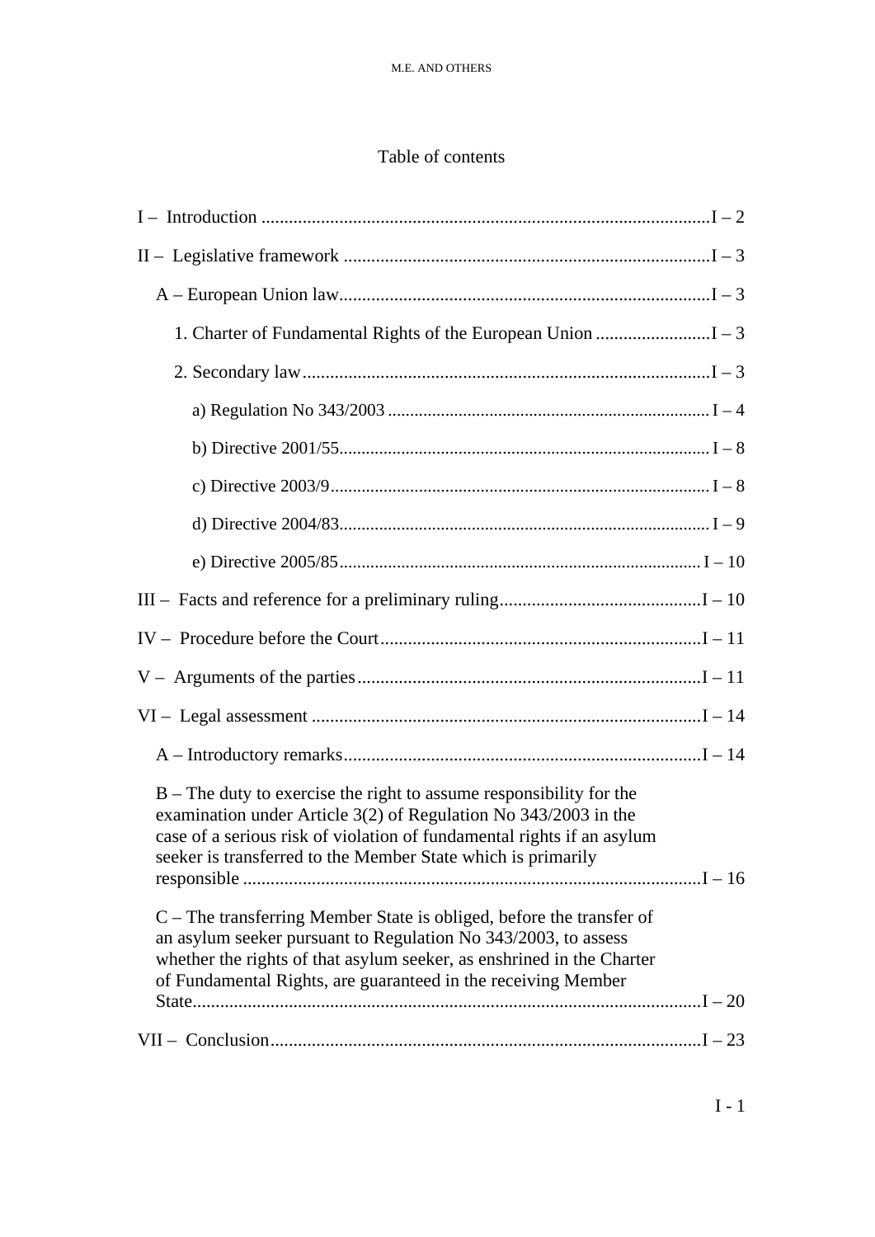# Table of contents

| $B$ – The duty to exercise the right to assume responsibility for the<br>examination under Article $3(2)$ of Regulation No $343/2003$ in the<br>case of a serious risk of violation of fundamental rights if an asylum<br>seeker is transferred to the Member State which is primarily |  |
|----------------------------------------------------------------------------------------------------------------------------------------------------------------------------------------------------------------------------------------------------------------------------------------|--|
| $C$ – The transferring Member State is obliged, before the transfer of<br>an asylum seeker pursuant to Regulation No 343/2003, to assess<br>whether the rights of that asylum seeker, as enshrined in the Charter<br>of Fundamental Rights, are guaranteed in the receiving Member     |  |
|                                                                                                                                                                                                                                                                                        |  |
|                                                                                                                                                                                                                                                                                        |  |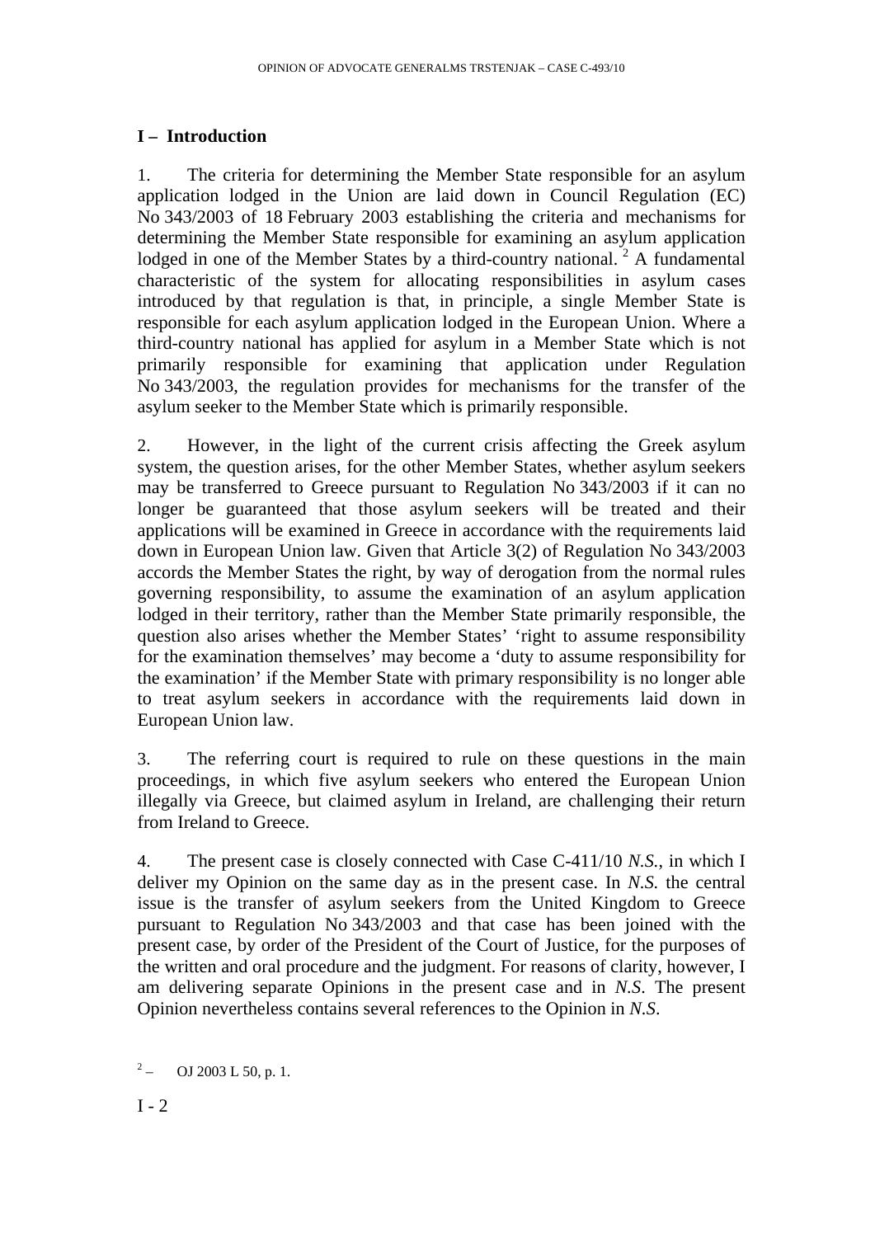## **I – Introduction**

1. The criteria for determining the Member State responsible for an asylum application lodged in the Union are laid down in Council Regulation (EC) No 343/2003 of 18 February 2003 establishing the criteria and mechanisms for determining the Member State responsible for examining an asylum application lodged in one of the Member States by a third-country national.<sup>2</sup> A fundamental characteristic of the system for allocating responsibilities in asylum cases introduced by that regulation is that, in principle, a single Member State is responsible for each asylum application lodged in the European Union. Where a third-country national has applied for asylum in a Member State which is not primarily responsible for examining that application under Regulation No 343/2003, the regulation provides for mechanisms for the transfer of the asylum seeker to the Member State which is primarily responsible.

2. However, in the light of the current crisis affecting the Greek asylum system, the question arises, for the other Member States, whether asylum seekers may be transferred to Greece pursuant to Regulation No 343/2003 if it can no longer be guaranteed that those asylum seekers will be treated and their applications will be examined in Greece in accordance with the requirements laid down in European Union law. Given that Article 3(2) of Regulation No 343/2003 accords the Member States the right, by way of derogation from the normal rules governing responsibility, to assume the examination of an asylum application lodged in their territory, rather than the Member State primarily responsible, the question also arises whether the Member States' 'right to assume responsibility for the examination themselves' may become a 'duty to assume responsibility for the examination' if the Member State with primary responsibility is no longer able to treat asylum seekers in accordance with the requirements laid down in European Union law.

3. The referring court is required to rule on these questions in the main proceedings, in which five asylum seekers who entered the European Union illegally via Greece, but claimed asylum in Ireland, are challenging their return from Ireland to Greece.

4. The present case is closely connected with Case C-411/10 *N.S.*, in which I deliver my Opinion on the same day as in the present case. In *N.S.* the central issue is the transfer of asylum seekers from the United Kingdom to Greece pursuant to Regulation No 343/2003 and that case has been joined with the present case, by order of the President of the Court of Justice, for the purposes of the written and oral procedure and the judgment. For reasons of clarity, however, I am delivering separate Opinions in the present case and in *N.S*. The present Opinion nevertheless contains several references to the Opinion in *N.S*.

 $2\,$ – OJ 2003 L 50, p. 1.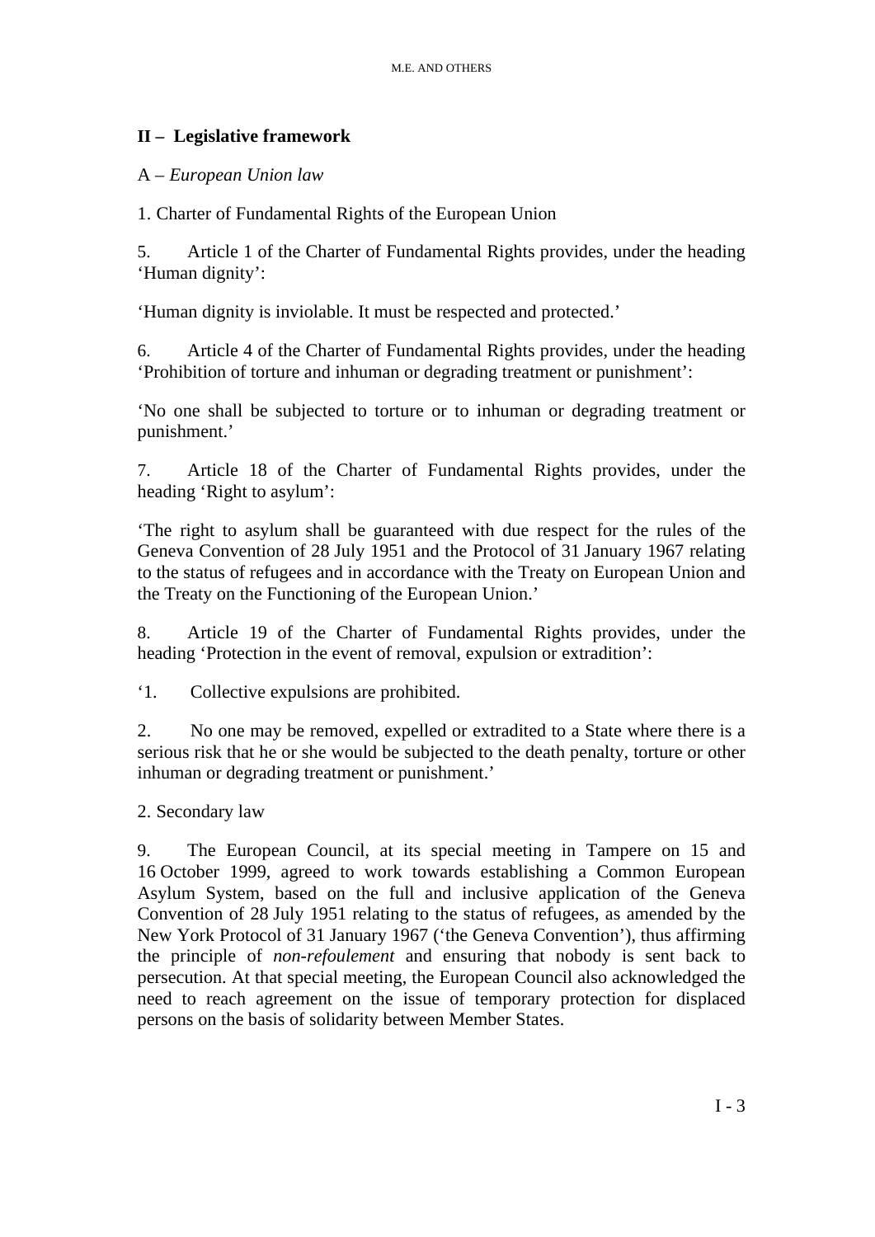## **II – Legislative framework**

#### A – *European Union law*

1. Charter of Fundamental Rights of the European Union

5. Article 1 of the Charter of Fundamental Rights provides, under the heading 'Human dignity':

'Human dignity is inviolable. It must be respected and protected.'

6. Article 4 of the Charter of Fundamental Rights provides, under the heading 'Prohibition of torture and inhuman or degrading treatment or punishment':

'No one shall be subjected to torture or to inhuman or degrading treatment or punishment.'

7. Article 18 of the Charter of Fundamental Rights provides, under the heading 'Right to asylum':

'The right to asylum shall be guaranteed with due respect for the rules of the Geneva Convention of 28 July 1951 and the Protocol of 31 January 1967 relating to the status of refugees and in accordance with the Treaty on European Union and the Treaty on the Functioning of the European Union.'

8. Article 19 of the Charter of Fundamental Rights provides, under the heading 'Protection in the event of removal, expulsion or extradition':

'1. Collective expulsions are prohibited.

2. No one may be removed, expelled or extradited to a State where there is a serious risk that he or she would be subjected to the death penalty, torture or other inhuman or degrading treatment or punishment.'

2. Secondary law

9. The European Council, at its special meeting in Tampere on 15 and 16 October 1999, agreed to work towards establishing a Common European Asylum System, based on the full and inclusive application of the Geneva Convention of 28 July 1951 relating to the status of refugees, as amended by the New York Protocol of 31 January 1967 ('the Geneva Convention'), thus affirming the principle of *non-refoulement* and ensuring that nobody is sent back to persecution. At that special meeting, the European Council also acknowledged the need to reach agreement on the issue of temporary protection for displaced persons on the basis of solidarity between Member States.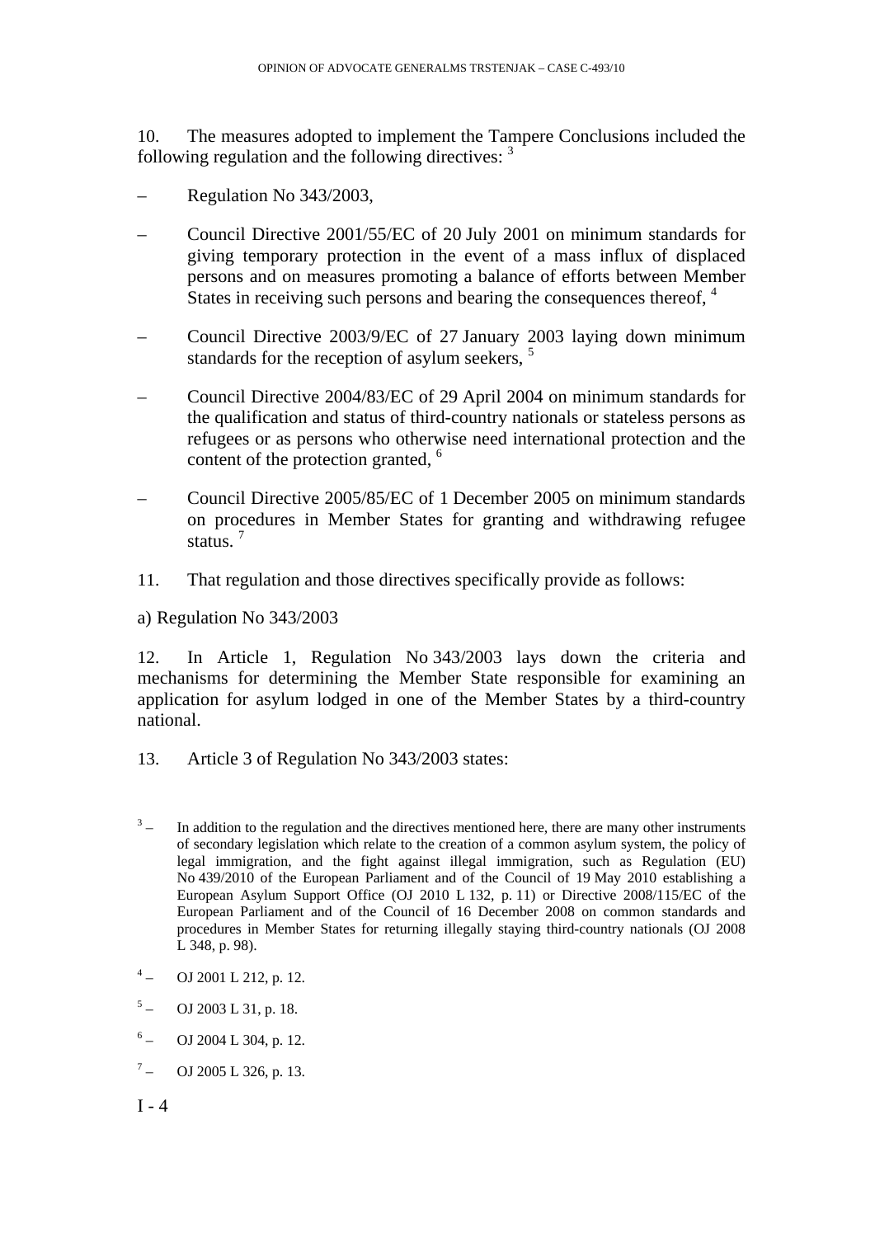10. The measures adopted to implement the Tampere Conclusions included the following regulation and the following directives:  $3\overline{ }$ 

- Regulation No 343/2003,
- Council Directive 2001/55/EC of 20 July 2001 on minimum standards for giving temporary protection in the event of a mass influx of displaced persons and on measures promoting a balance of efforts between Member States in receiving such persons and bearing the consequences thereof, <sup>4</sup>
- Council Directive 2003/9/EC of 27 January 2003 laying down minimum standards for the reception of asylum seekers, <sup>5</sup>
- Council Directive 2004/83/EC of 29 April 2004 on minimum standards for the qualification and status of third-country nationals or stateless persons as refugees or as persons who otherwise need international protection and the content of the protection granted, <sup>6</sup>
- Council Directive 2005/85/EC of 1 December 2005 on minimum standards on procedures in Member States for granting and withdrawing refugee status $\frac{7}{ }$
- 11. That regulation and those directives specifically provide as follows:

a) Regulation No 343/2003

12. In Article 1, Regulation No 343/2003 lays down the criteria and mechanisms for determining the Member State responsible for examining an application for asylum lodged in one of the Member States by a third-country national.

- 13. Article 3 of Regulation No 343/2003 states:
- $3\degree$  – In addition to the regulation and the directives mentioned here, there are many other instruments of secondary legislation which relate to the creation of a common asylum system, the policy of legal immigration, and the fight against illegal immigration, such as Regulation (EU) No 439/2010 of the European Parliament and of the Council of 19 May 2010 establishing a European Asylum Support Office (OJ 2010 L 132, p. 11) or Directive 2008/115/EC of the European Parliament and of the Council of 16 December 2008 on common standards and procedures in Member States for returning illegally staying third-country nationals (OJ 2008 L 348, p. 98).
- $4\degree$ – OJ 2001 L 212, p. 12.
- $5 -$  OJ 2003 L 31, p. 18.
- $6 -$  OJ 2004 L 304, p. 12.
- $7 -$  OJ 2005 L 326, p. 13.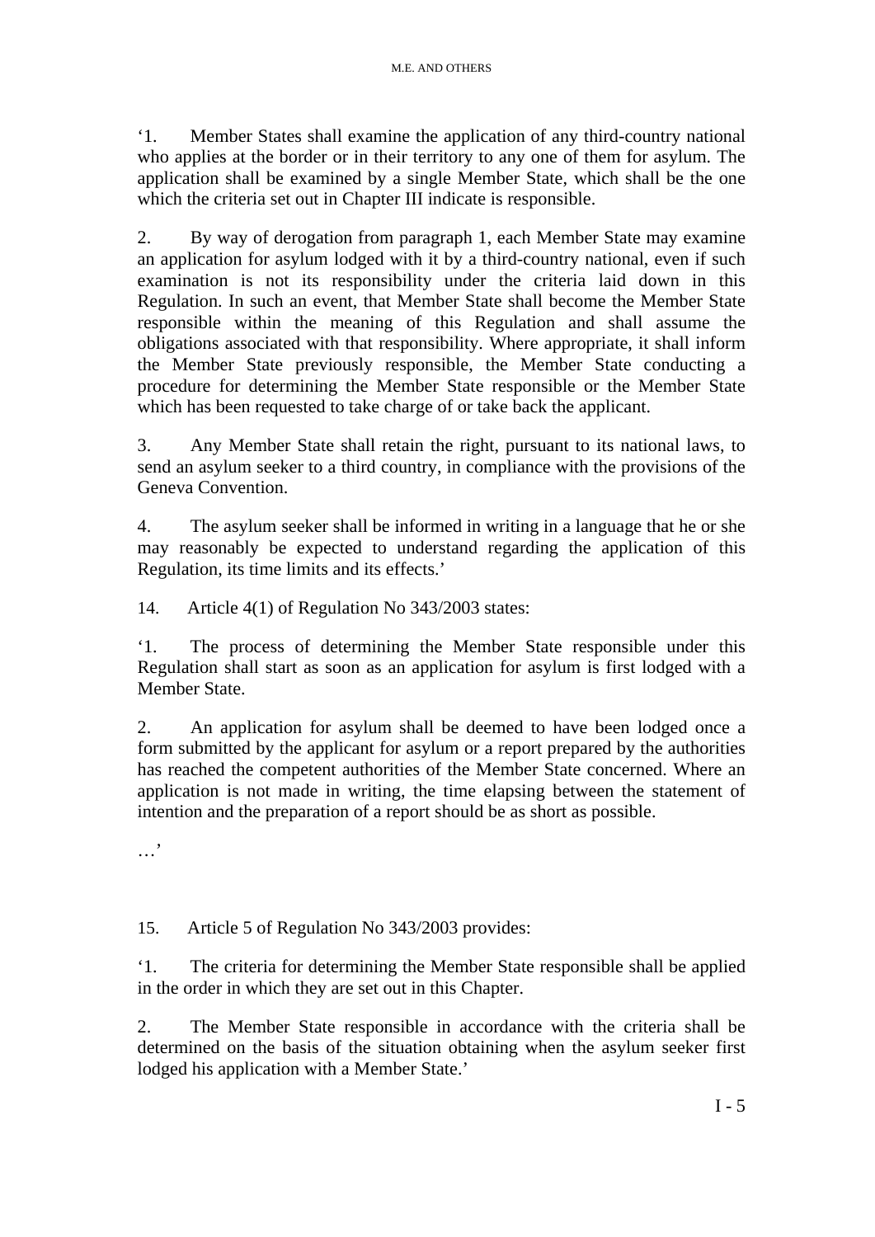'1. Member States shall examine the application of any third-country national who applies at the border or in their territory to any one of them for asylum. The application shall be examined by a single Member State, which shall be the one which the criteria set out in Chapter III indicate is responsible.

2. By way of derogation from paragraph 1, each Member State may examine an application for asylum lodged with it by a third-country national, even if such examination is not its responsibility under the criteria laid down in this Regulation. In such an event, that Member State shall become the Member State responsible within the meaning of this Regulation and shall assume the obligations associated with that responsibility. Where appropriate, it shall inform the Member State previously responsible, the Member State conducting a procedure for determining the Member State responsible or the Member State which has been requested to take charge of or take back the applicant.

3. Any Member State shall retain the right, pursuant to its national laws, to send an asylum seeker to a third country, in compliance with the provisions of the Geneva Convention.

4. The asylum seeker shall be informed in writing in a language that he or she may reasonably be expected to understand regarding the application of this Regulation, its time limits and its effects.'

14. Article 4(1) of Regulation No 343/2003 states:

'1. The process of determining the Member State responsible under this Regulation shall start as soon as an application for asylum is first lodged with a Member State.

2. An application for asylum shall be deemed to have been lodged once a form submitted by the applicant for asylum or a report prepared by the authorities has reached the competent authorities of the Member State concerned. Where an application is not made in writing, the time elapsing between the statement of intention and the preparation of a report should be as short as possible.

…'

15. Article 5 of Regulation No 343/2003 provides:

'1. The criteria for determining the Member State responsible shall be applied in the order in which they are set out in this Chapter.

2. The Member State responsible in accordance with the criteria shall be determined on the basis of the situation obtaining when the asylum seeker first lodged his application with a Member State.'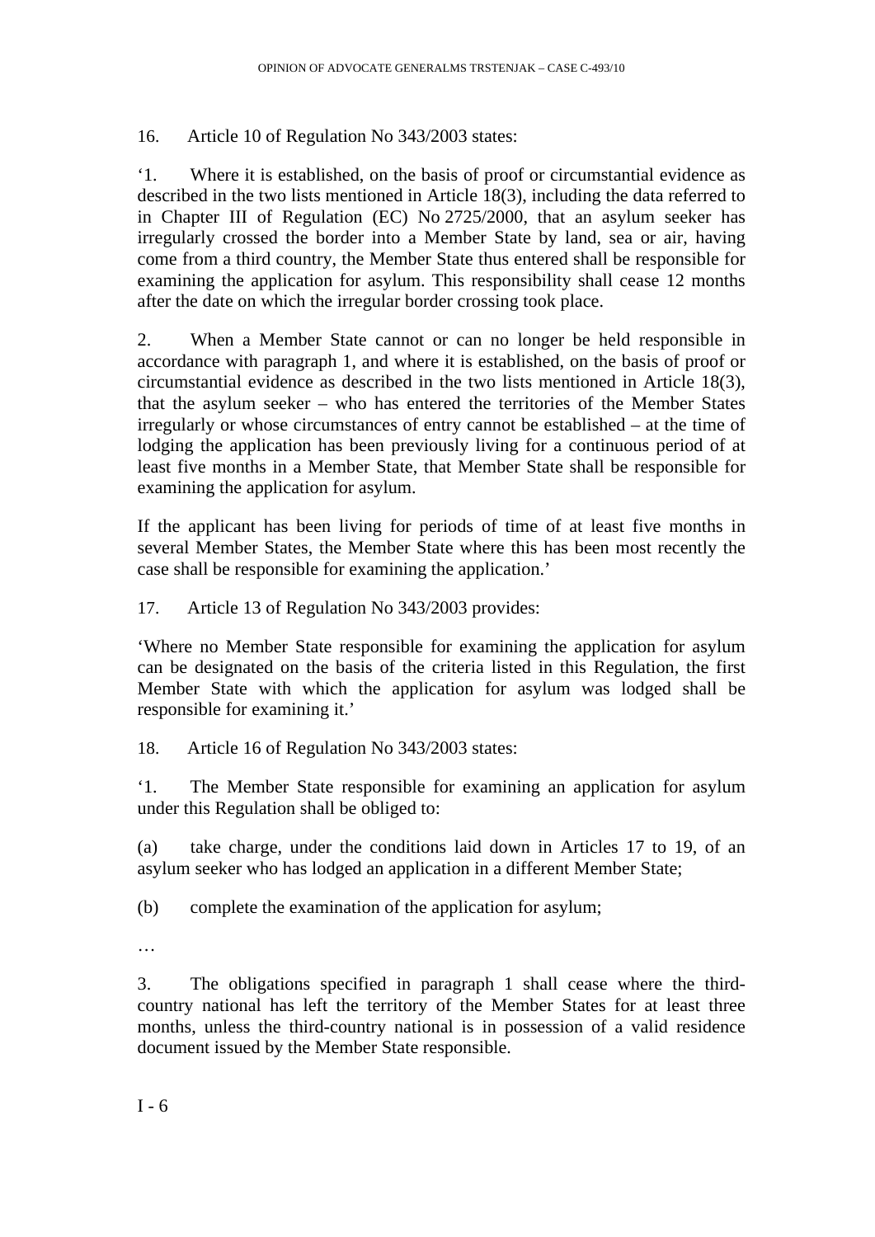16. Article 10 of Regulation No 343/2003 states:

'1. Where it is established, on the basis of proof or circumstantial evidence as described in the two lists mentioned in Article 18(3), including the data referred to in Chapter III of Regulation (EC) No 2725/2000, that an asylum seeker has irregularly crossed the border into a Member State by land, sea or air, having come from a third country, the Member State thus entered shall be responsible for examining the application for asylum. This responsibility shall cease 12 months after the date on which the irregular border crossing took place.

2. When a Member State cannot or can no longer be held responsible in accordance with paragraph 1, and where it is established, on the basis of proof or circumstantial evidence as described in the two lists mentioned in Article 18(3), that the asylum seeker – who has entered the territories of the Member States irregularly or whose circumstances of entry cannot be established – at the time of lodging the application has been previously living for a continuous period of at least five months in a Member State, that Member State shall be responsible for examining the application for asylum.

If the applicant has been living for periods of time of at least five months in several Member States, the Member State where this has been most recently the case shall be responsible for examining the application.'

17. Article 13 of Regulation No 343/2003 provides:

'Where no Member State responsible for examining the application for asylum can be designated on the basis of the criteria listed in this Regulation, the first Member State with which the application for asylum was lodged shall be responsible for examining it.'

18. Article 16 of Regulation No 343/2003 states:

'1. The Member State responsible for examining an application for asylum under this Regulation shall be obliged to:

(a) take charge, under the conditions laid down in Articles 17 to 19, of an asylum seeker who has lodged an application in a different Member State;

(b) complete the examination of the application for asylum;

…

3. The obligations specified in paragraph 1 shall cease where the thirdcountry national has left the territory of the Member States for at least three months, unless the third-country national is in possession of a valid residence document issued by the Member State responsible.

 $I - 6$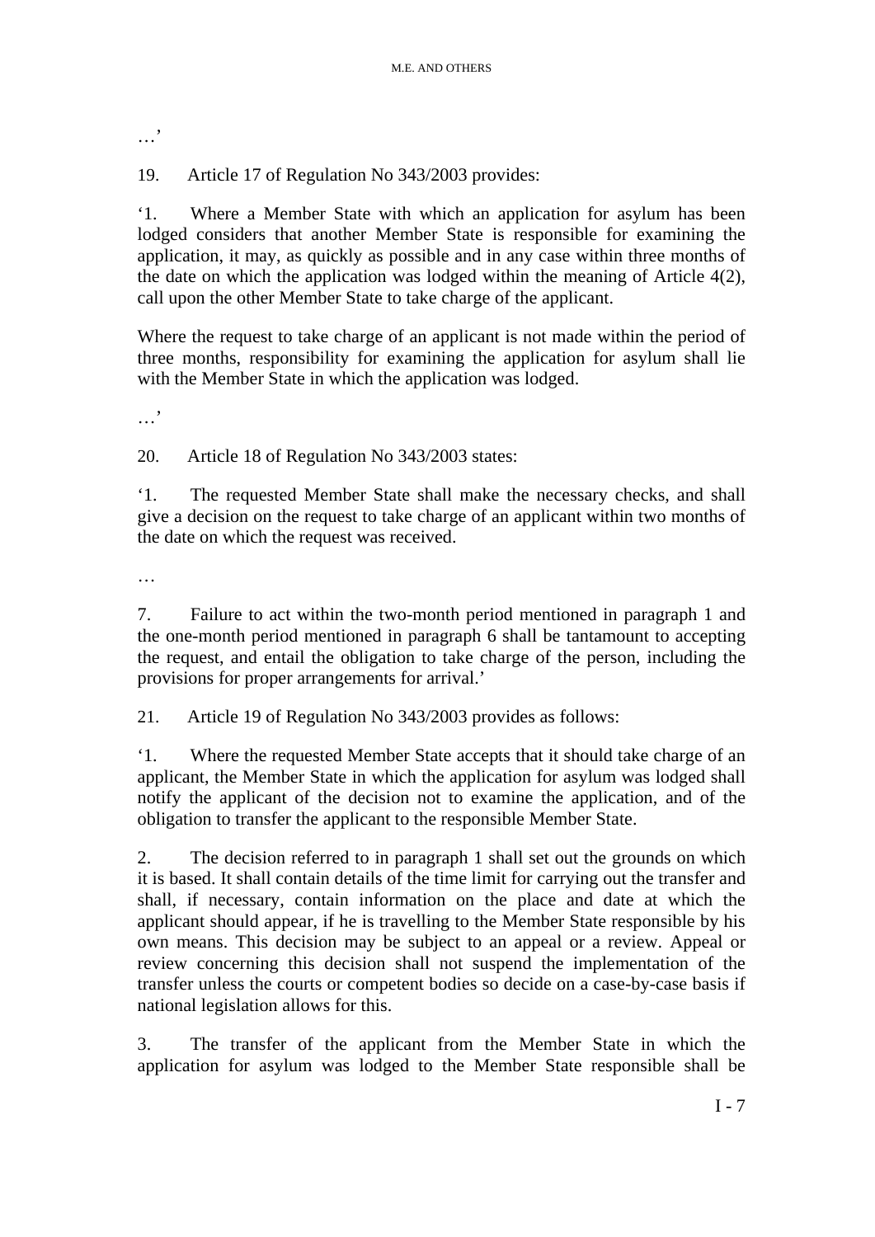…,

19. Article 17 of Regulation No 343/2003 provides:

'1. Where a Member State with which an application for asylum has been lodged considers that another Member State is responsible for examining the application, it may, as quickly as possible and in any case within three months of the date on which the application was lodged within the meaning of Article 4(2), call upon the other Member State to take charge of the applicant.

Where the request to take charge of an applicant is not made within the period of three months, responsibility for examining the application for asylum shall lie with the Member State in which the application was lodged.

…'

20. Article 18 of Regulation No 343/2003 states:

'1. The requested Member State shall make the necessary checks, and shall give a decision on the request to take charge of an applicant within two months of the date on which the request was received.

…

7. Failure to act within the two-month period mentioned in paragraph 1 and the one-month period mentioned in paragraph 6 shall be tantamount to accepting the request, and entail the obligation to take charge of the person, including the provisions for proper arrangements for arrival.'

21. Article 19 of Regulation No 343/2003 provides as follows:

'1. Where the requested Member State accepts that it should take charge of an applicant, the Member State in which the application for asylum was lodged shall notify the applicant of the decision not to examine the application, and of the obligation to transfer the applicant to the responsible Member State.

2. The decision referred to in paragraph 1 shall set out the grounds on which it is based. It shall contain details of the time limit for carrying out the transfer and shall, if necessary, contain information on the place and date at which the applicant should appear, if he is travelling to the Member State responsible by his own means. This decision may be subject to an appeal or a review. Appeal or review concerning this decision shall not suspend the implementation of the transfer unless the courts or competent bodies so decide on a case-by-case basis if national legislation allows for this.

3. The transfer of the applicant from the Member State in which the application for asylum was lodged to the Member State responsible shall be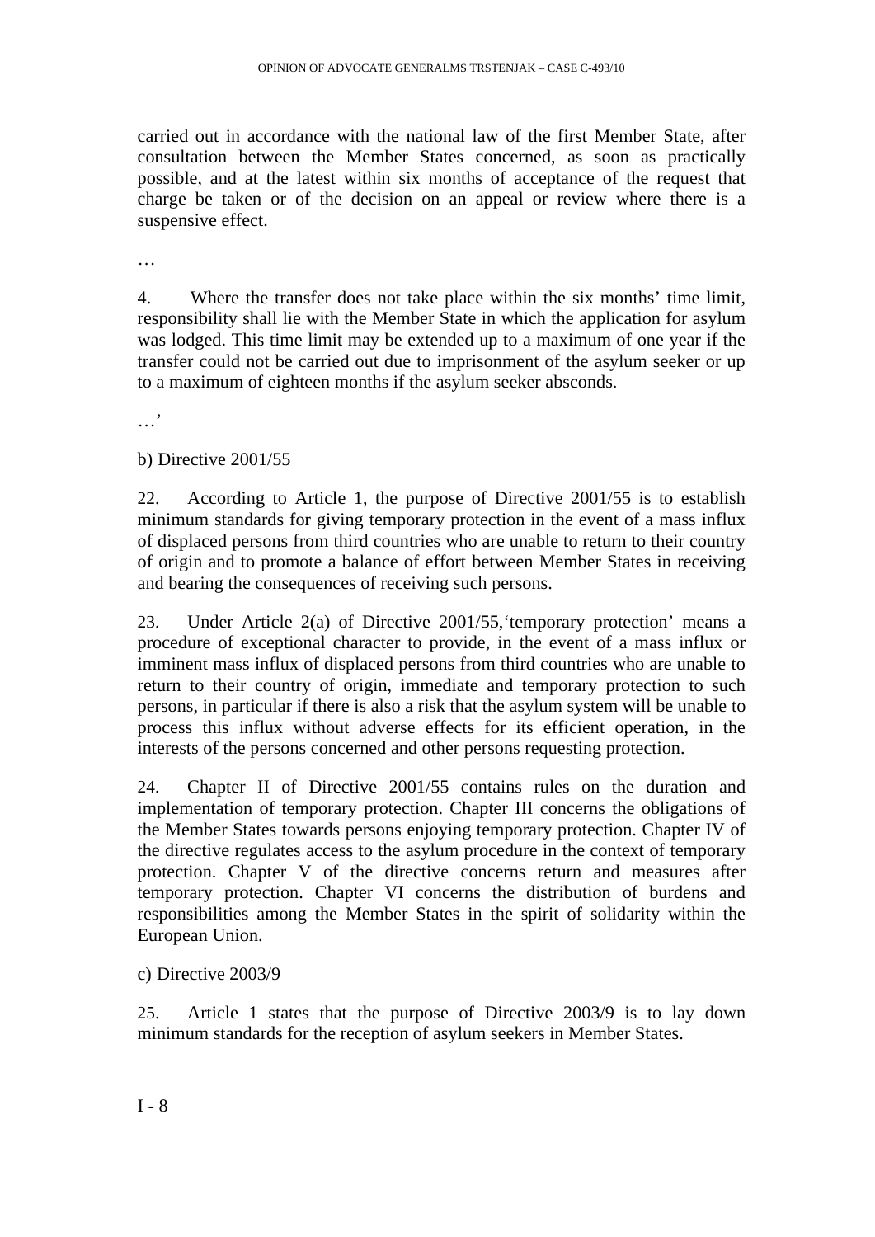carried out in accordance with the national law of the first Member State, after consultation between the Member States concerned, as soon as practically possible, and at the latest within six months of acceptance of the request that charge be taken or of the decision on an appeal or review where there is a suspensive effect.

…

4. Where the transfer does not take place within the six months' time limit, responsibility shall lie with the Member State in which the application for asylum was lodged. This time limit may be extended up to a maximum of one year if the transfer could not be carried out due to imprisonment of the asylum seeker or up to a maximum of eighteen months if the asylum seeker absconds.

…'

#### b) Directive 2001/55

22. According to Article 1, the purpose of Directive 2001/55 is to establish minimum standards for giving temporary protection in the event of a mass influx of displaced persons from third countries who are unable to return to their country of origin and to promote a balance of effort between Member States in receiving and bearing the consequences of receiving such persons.

23. Under Article 2(a) of Directive 2001/55,'temporary protection' means a procedure of exceptional character to provide, in the event of a mass influx or imminent mass influx of displaced persons from third countries who are unable to return to their country of origin, immediate and temporary protection to such persons, in particular if there is also a risk that the asylum system will be unable to process this influx without adverse effects for its efficient operation, in the interests of the persons concerned and other persons requesting protection.

24. Chapter II of Directive 2001/55 contains rules on the duration and implementation of temporary protection. Chapter III concerns the obligations of the Member States towards persons enjoying temporary protection. Chapter IV of the directive regulates access to the asylum procedure in the context of temporary protection. Chapter V of the directive concerns return and measures after temporary protection. Chapter VI concerns the distribution of burdens and responsibilities among the Member States in the spirit of solidarity within the European Union.

c) Directive 2003/9

25. Article 1 states that the purpose of Directive 2003/9 is to lay down minimum standards for the reception of asylum seekers in Member States.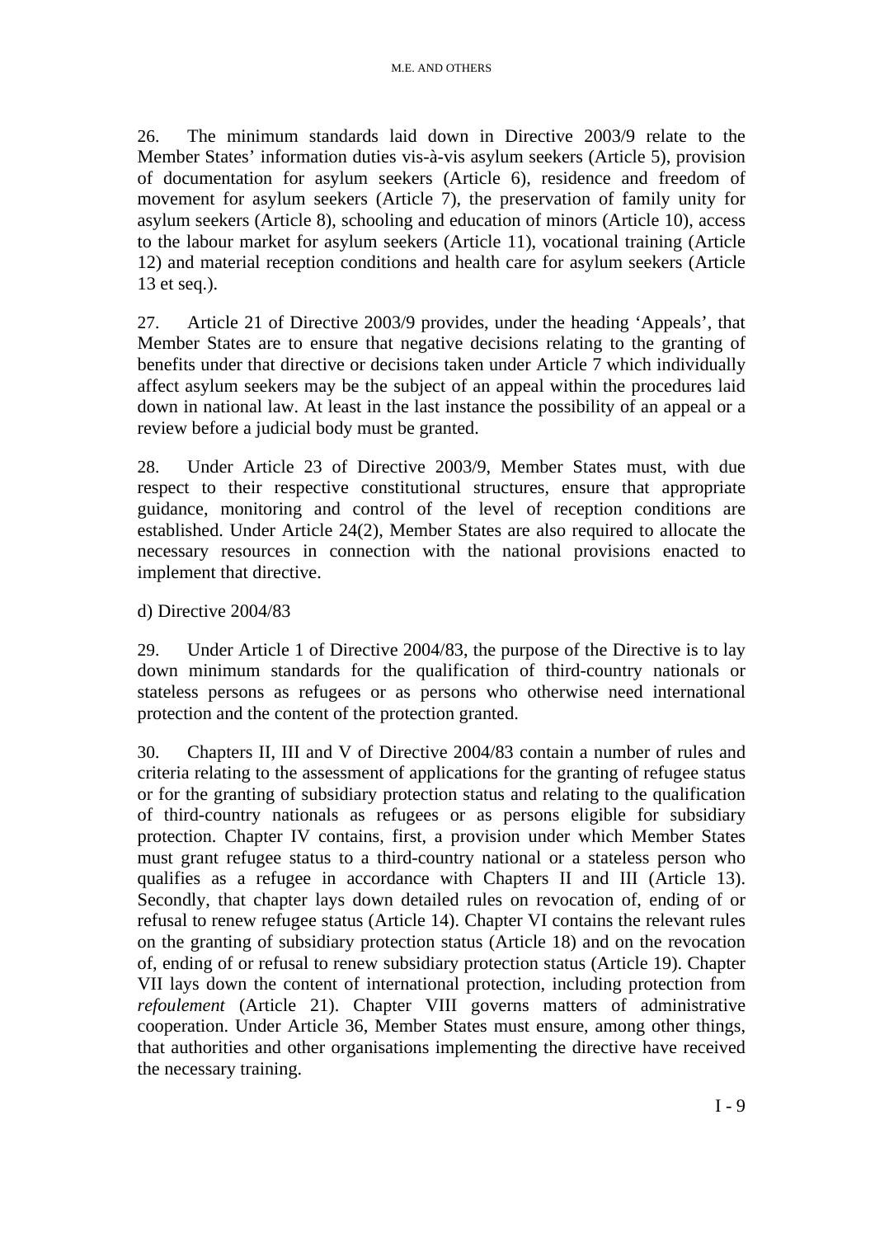26. The minimum standards laid down in Directive 2003/9 relate to the Member States' information duties vis-à-vis asylum seekers (Article 5), provision of documentation for asylum seekers (Article 6), residence and freedom of movement for asylum seekers (Article 7), the preservation of family unity for asylum seekers (Article 8), schooling and education of minors (Article 10), access to the labour market for asylum seekers (Article 11), vocational training (Article 12) and material reception conditions and health care for asylum seekers (Article 13 et seq.).

27. Article 21 of Directive 2003/9 provides, under the heading 'Appeals', that Member States are to ensure that negative decisions relating to the granting of benefits under that directive or decisions taken under Article 7 which individually affect asylum seekers may be the subject of an appeal within the procedures laid down in national law. At least in the last instance the possibility of an appeal or a review before a judicial body must be granted.

28. Under Article 23 of Directive 2003/9, Member States must, with due respect to their respective constitutional structures, ensure that appropriate guidance, monitoring and control of the level of reception conditions are established. Under Article 24(2), Member States are also required to allocate the necessary resources in connection with the national provisions enacted to implement that directive.

## d) Directive 2004/83

29. Under Article 1 of Directive 2004/83, the purpose of the Directive is to lay down minimum standards for the qualification of third-country nationals or stateless persons as refugees or as persons who otherwise need international protection and the content of the protection granted.

30. Chapters II, III and V of Directive 2004/83 contain a number of rules and criteria relating to the assessment of applications for the granting of refugee status or for the granting of subsidiary protection status and relating to the qualification of third-country nationals as refugees or as persons eligible for subsidiary protection. Chapter IV contains, first, a provision under which Member States must grant refugee status to a third-country national or a stateless person who qualifies as a refugee in accordance with Chapters II and III (Article 13). Secondly, that chapter lays down detailed rules on revocation of, ending of or refusal to renew refugee status (Article 14). Chapter VI contains the relevant rules on the granting of subsidiary protection status (Article 18) and on the revocation of, ending of or refusal to renew subsidiary protection status (Article 19). Chapter VII lays down the content of international protection, including protection from *refoulement* (Article 21). Chapter VIII governs matters of administrative cooperation. Under Article 36, Member States must ensure, among other things, that authorities and other organisations implementing the directive have received the necessary training.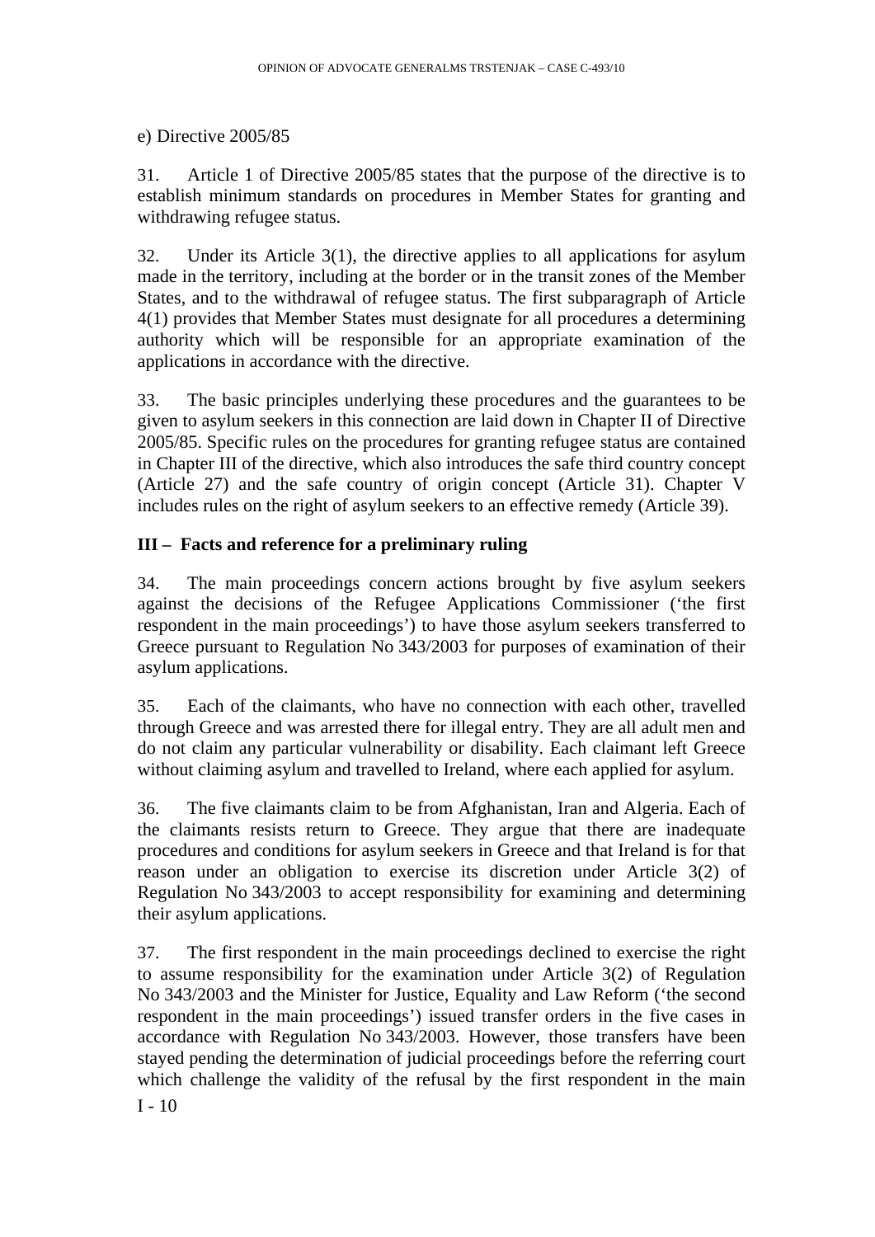#### e) Directive 2005/85

31. Article 1 of Directive 2005/85 states that the purpose of the directive is to establish minimum standards on procedures in Member States for granting and withdrawing refugee status.

32. Under its Article 3(1), the directive applies to all applications for asylum made in the territory, including at the border or in the transit zones of the Member States, and to the withdrawal of refugee status. The first subparagraph of Article 4(1) provides that Member States must designate for all procedures a determining authority which will be responsible for an appropriate examination of the applications in accordance with the directive.

33. The basic principles underlying these procedures and the guarantees to be given to asylum seekers in this connection are laid down in Chapter II of Directive 2005/85. Specific rules on the procedures for granting refugee status are contained in Chapter III of the directive, which also introduces the safe third country concept (Article 27) and the safe country of origin concept (Article 31). Chapter V includes rules on the right of asylum seekers to an effective remedy (Article 39).

## **III – Facts and reference for a preliminary ruling**

34. The main proceedings concern actions brought by five asylum seekers against the decisions of the Refugee Applications Commissioner ('the first respondent in the main proceedings') to have those asylum seekers transferred to Greece pursuant to Regulation No 343/2003 for purposes of examination of their asylum applications.

35. Each of the claimants, who have no connection with each other, travelled through Greece and was arrested there for illegal entry. They are all adult men and do not claim any particular vulnerability or disability. Each claimant left Greece without claiming asylum and travelled to Ireland, where each applied for asylum.

36. The five claimants claim to be from Afghanistan, Iran and Algeria. Each of the claimants resists return to Greece. They argue that there are inadequate procedures and conditions for asylum seekers in Greece and that Ireland is for that reason under an obligation to exercise its discretion under Article 3(2) of Regulation No 343/2003 to accept responsibility for examining and determining their asylum applications.

 $I - 10$ 37. The first respondent in the main proceedings declined to exercise the right to assume responsibility for the examination under Article 3(2) of Regulation No 343/2003 and the Minister for Justice, Equality and Law Reform ('the second respondent in the main proceedings') issued transfer orders in the five cases in accordance with Regulation No 343/2003. However, those transfers have been stayed pending the determination of judicial proceedings before the referring court which challenge the validity of the refusal by the first respondent in the main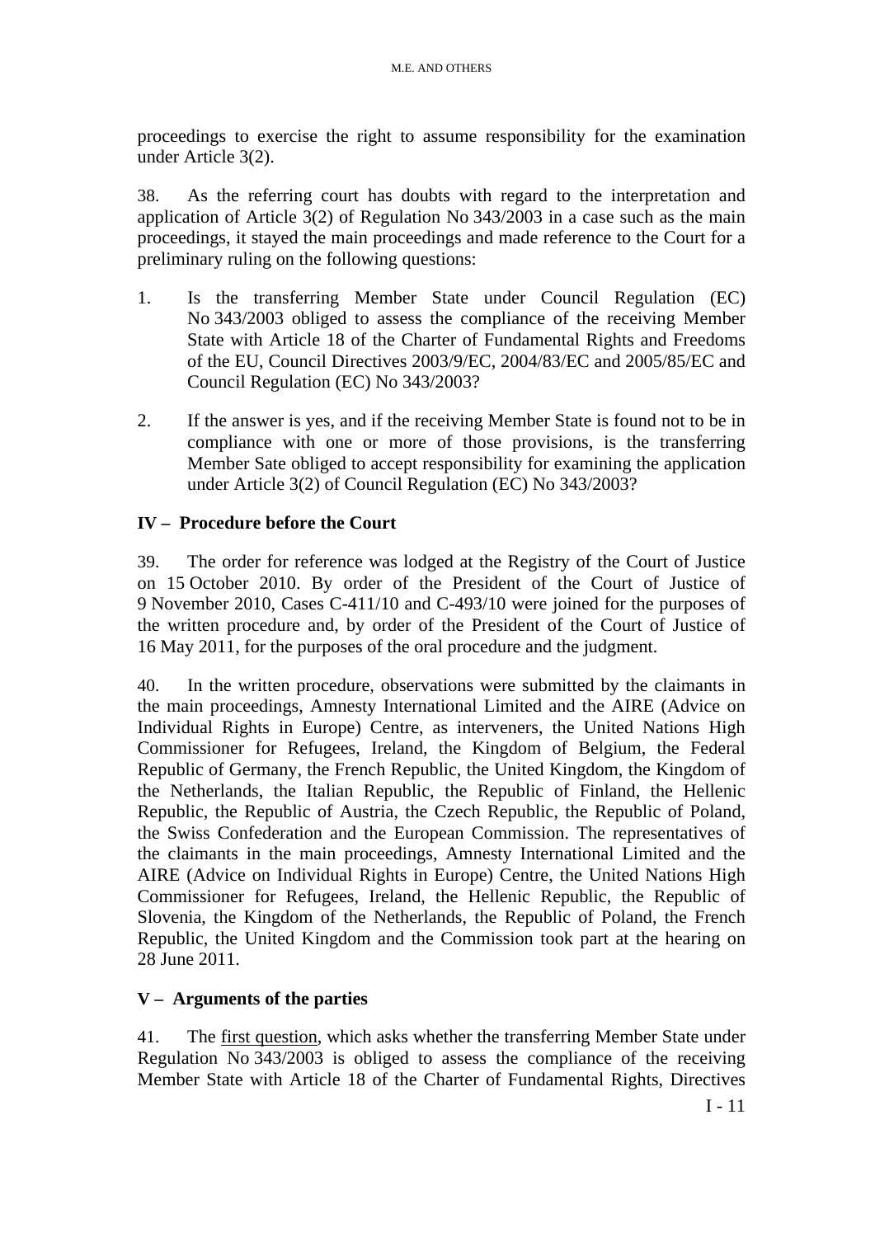proceedings to exercise the right to assume responsibility for the examination under Article 3(2).

38. As the referring court has doubts with regard to the interpretation and application of Article 3(2) of Regulation No 343/2003 in a case such as the main proceedings, it stayed the main proceedings and made reference to the Court for a preliminary ruling on the following questions:

- 1. Is the transferring Member State under Council Regulation (EC) No 343/2003 obliged to assess the compliance of the receiving Member State with Article 18 of the Charter of Fundamental Rights and Freedoms of the EU, Council Directives 2003/9/EC, 2004/83/EC and 2005/85/EC and Council Regulation (EC) No 343/2003?
- 2. If the answer is yes, and if the receiving Member State is found not to be in compliance with one or more of those provisions, is the transferring Member Sate obliged to accept responsibility for examining the application under Article 3(2) of Council Regulation (EC) No 343/2003?

## **IV – Procedure before the Court**

39. The order for reference was lodged at the Registry of the Court of Justice on 15 October 2010. By order of the President of the Court of Justice of 9 November 2010, Cases C-411/10 and C-493/10 were joined for the purposes of the written procedure and, by order of the President of the Court of Justice of 16 May 2011, for the purposes of the oral procedure and the judgment.

40. In the written procedure, observations were submitted by the claimants in the main proceedings, Amnesty International Limited and the AIRE (Advice on Individual Rights in Europe) Centre, as interveners, the United Nations High Commissioner for Refugees, Ireland, the Kingdom of Belgium, the Federal Republic of Germany, the French Republic, the United Kingdom, the Kingdom of the Netherlands, the Italian Republic, the Republic of Finland, the Hellenic Republic, the Republic of Austria, the Czech Republic, the Republic of Poland, the Swiss Confederation and the European Commission. The representatives of the claimants in the main proceedings, Amnesty International Limited and the AIRE (Advice on Individual Rights in Europe) Centre, the United Nations High Commissioner for Refugees, Ireland, the Hellenic Republic, the Republic of Slovenia, the Kingdom of the Netherlands, the Republic of Poland, the French Republic, the United Kingdom and the Commission took part at the hearing on 28 June 2011.

## **V – Arguments of the parties**

41. The first question, which asks whether the transferring Member State under Regulation No 343/2003 is obliged to assess the compliance of the receiving Member State with Article 18 of the Charter of Fundamental Rights, Directives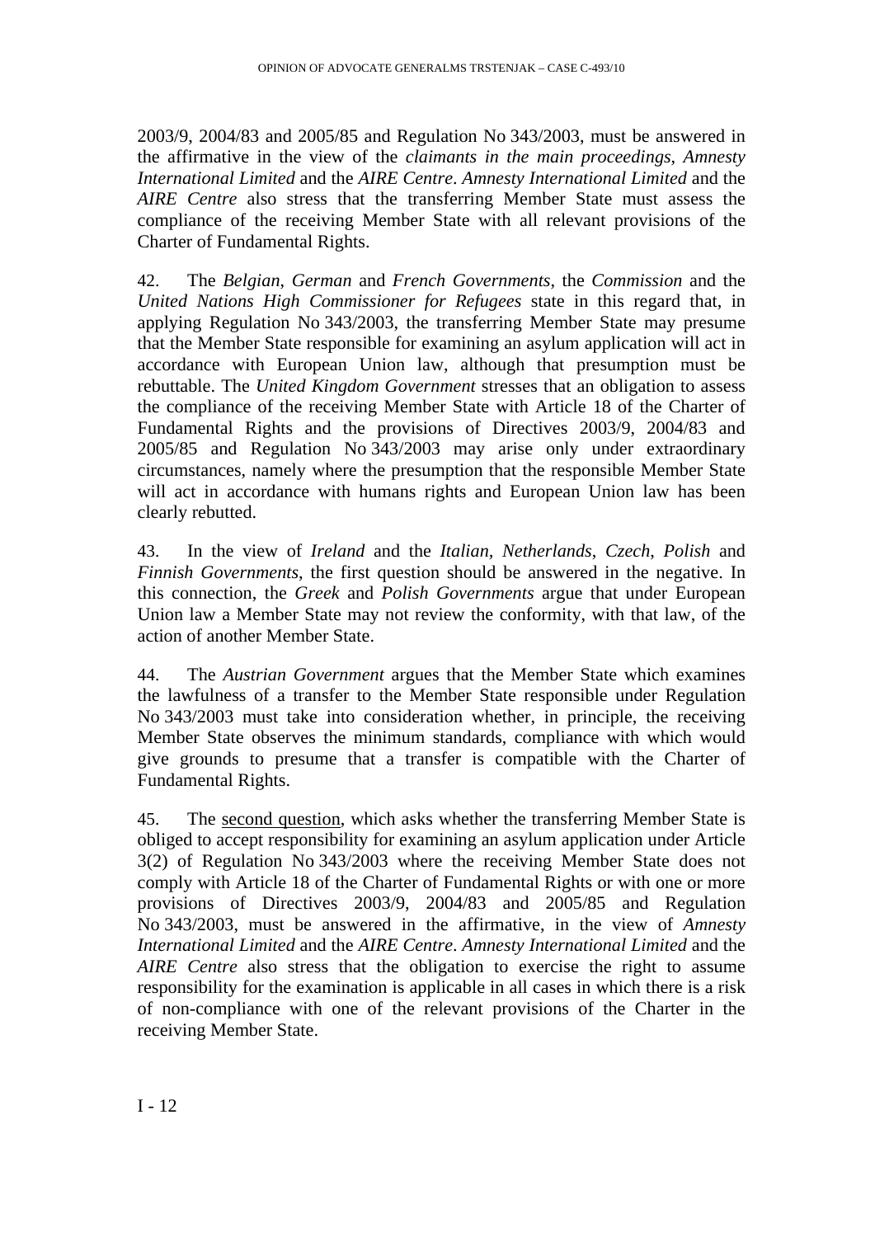2003/9, 2004/83 and 2005/85 and Regulation No 343/2003, must be answered in the affirmative in the view of the *claimants in the main proceedings*, *Amnesty International Limited* and the *AIRE Centre*. *Amnesty International Limited* and the *AIRE Centre* also stress that the transferring Member State must assess the compliance of the receiving Member State with all relevant provisions of the Charter of Fundamental Rights.

42. The *Belgian*, *German* and *French Governments*, the *Commission* and the *United Nations High Commissioner for Refugees* state in this regard that, in applying Regulation No 343/2003, the transferring Member State may presume that the Member State responsible for examining an asylum application will act in accordance with European Union law, although that presumption must be rebuttable. The *United Kingdom Government* stresses that an obligation to assess the compliance of the receiving Member State with Article 18 of the Charter of Fundamental Rights and the provisions of Directives 2003/9, 2004/83 and 2005/85 and Regulation No 343/2003 may arise only under extraordinary circumstances, namely where the presumption that the responsible Member State will act in accordance with humans rights and European Union law has been clearly rebutted.

43. In the view of *Ireland* and the *Italian, Netherlands*, *Czech*, *Polish* and *Finnish Governments*, the first question should be answered in the negative. In this connection, the *Greek* and *Polish Governments* argue that under European Union law a Member State may not review the conformity, with that law, of the action of another Member State.

44. The *Austrian Government* argues that the Member State which examines the lawfulness of a transfer to the Member State responsible under Regulation No 343/2003 must take into consideration whether, in principle, the receiving Member State observes the minimum standards, compliance with which would give grounds to presume that a transfer is compatible with the Charter of Fundamental Rights.

45. The second question, which asks whether the transferring Member State is obliged to accept responsibility for examining an asylum application under Article 3(2) of Regulation No 343/2003 where the receiving Member State does not comply with Article 18 of the Charter of Fundamental Rights or with one or more provisions of Directives 2003/9, 2004/83 and 2005/85 and Regulation No 343/2003, must be answered in the affirmative, in the view of *Amnesty International Limited* and the *AIRE Centre*. *Amnesty International Limited* and the *AIRE Centre* also stress that the obligation to exercise the right to assume responsibility for the examination is applicable in all cases in which there is a risk of non-compliance with one of the relevant provisions of the Charter in the receiving Member State.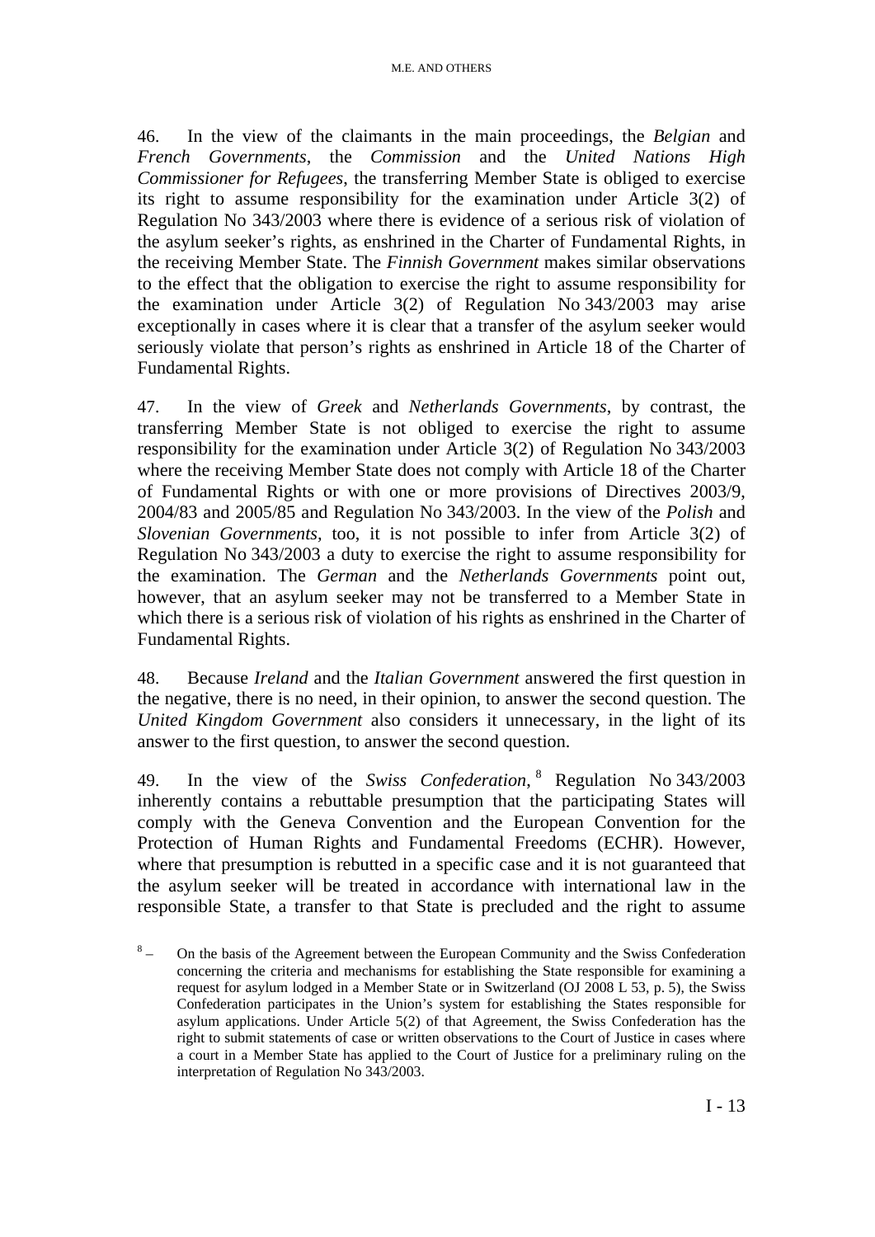46. In the view of the claimants in the main proceedings, the *Belgian* and *French Governments*, the *Commission* and the *United Nations High Commissioner for Refugees*, the transferring Member State is obliged to exercise its right to assume responsibility for the examination under Article 3(2) of Regulation No 343/2003 where there is evidence of a serious risk of violation of the asylum seeker's rights, as enshrined in the Charter of Fundamental Rights, in the receiving Member State. The *Finnish Government* makes similar observations to the effect that the obligation to exercise the right to assume responsibility for the examination under Article 3(2) of Regulation No 343/2003 may arise exceptionally in cases where it is clear that a transfer of the asylum seeker would seriously violate that person's rights as enshrined in Article 18 of the Charter of Fundamental Rights.

47. In the view of *Greek* and *Netherlands Governments*, by contrast, the transferring Member State is not obliged to exercise the right to assume responsibility for the examination under Article 3(2) of Regulation No 343/2003 where the receiving Member State does not comply with Article 18 of the Charter of Fundamental Rights or with one or more provisions of Directives 2003/9, 2004/83 and 2005/85 and Regulation No 343/2003. In the view of the *Polish* and *Slovenian Governments,* too, it is not possible to infer from Article 3(2) of Regulation No 343/2003 a duty to exercise the right to assume responsibility for the examination. The *German* and the *Netherlands Governments* point out, however, that an asylum seeker may not be transferred to a Member State in which there is a serious risk of violation of his rights as enshrined in the Charter of Fundamental Rights.

48. Because *Ireland* and the *Italian Government* answered the first question in the negative, there is no need, in their opinion, to answer the second question. The *United Kingdom Government* also considers it unnecessary, in the light of its answer to the first question, to answer the second question.

49. In the view of the *Swiss Confederation*, 8 Regulation No 343/2003 inherently contains a rebuttable presumption that the participating States will comply with the Geneva Convention and the European Convention for the Protection of Human Rights and Fundamental Freedoms (ECHR). However, where that presumption is rebutted in a specific case and it is not guaranteed that the asylum seeker will be treated in accordance with international law in the responsible State, a transfer to that State is precluded and the right to assume

 $8\phantom{.}$  – On the basis of the Agreement between the European Community and the Swiss Confederation concerning the criteria and mechanisms for establishing the State responsible for examining a request for asylum lodged in a Member State or in Switzerland (OJ 2008 L 53, p. 5), the Swiss Confederation participates in the Union's system for establishing the States responsible for asylum applications. Under Article 5(2) of that Agreement, the Swiss Confederation has the right to submit statements of case or written observations to the Court of Justice in cases where a court in a Member State has applied to the Court of Justice for a preliminary ruling on the interpretation of Regulation No 343/2003.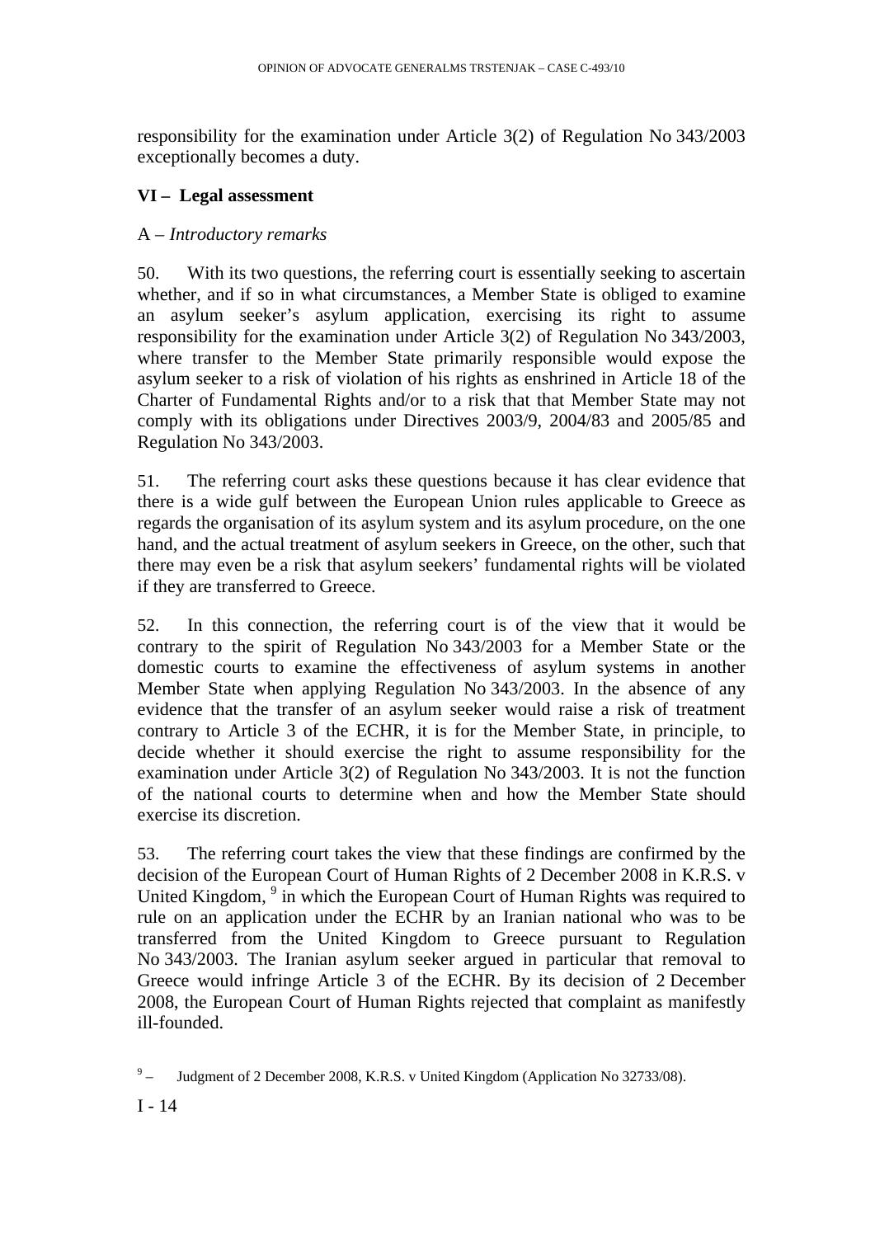responsibility for the examination under Article 3(2) of Regulation No 343/2003 exceptionally becomes a duty.

## **VI – Legal assessment**

## A – *Introductory remarks*

50. With its two questions, the referring court is essentially seeking to ascertain whether, and if so in what circumstances, a Member State is obliged to examine an asylum seeker's asylum application, exercising its right to assume responsibility for the examination under Article 3(2) of Regulation No 343/2003, where transfer to the Member State primarily responsible would expose the asylum seeker to a risk of violation of his rights as enshrined in Article 18 of the Charter of Fundamental Rights and/or to a risk that that Member State may not comply with its obligations under Directives 2003/9, 2004/83 and 2005/85 and Regulation No 343/2003.

51. The referring court asks these questions because it has clear evidence that there is a wide gulf between the European Union rules applicable to Greece as regards the organisation of its asylum system and its asylum procedure, on the one hand, and the actual treatment of asylum seekers in Greece, on the other, such that there may even be a risk that asylum seekers' fundamental rights will be violated if they are transferred to Greece.

52. In this connection, the referring court is of the view that it would be contrary to the spirit of Regulation No 343/2003 for a Member State or the domestic courts to examine the effectiveness of asylum systems in another Member State when applying Regulation No 343/2003. In the absence of any evidence that the transfer of an asylum seeker would raise a risk of treatment contrary to Article 3 of the ECHR, it is for the Member State, in principle, to decide whether it should exercise the right to assume responsibility for the examination under Article 3(2) of Regulation No 343/2003. It is not the function of the national courts to determine when and how the Member State should exercise its discretion.

53. The referring court takes the view that these findings are confirmed by the decision of the European Court of Human Rights of 2 December 2008 in K.R.S. v United Kingdom, <sup>9</sup> in which the European Court of Human Rights was required to rule on an application under the ECHR by an Iranian national who was to be transferred from the United Kingdom to Greece pursuant to Regulation No 343/2003. The Iranian asylum seeker argued in particular that removal to Greece would infringe Article 3 of the ECHR. By its decision of 2 December 2008, the European Court of Human Rights rejected that complaint as manifestly ill-founded.

 $9\degree$ – Judgment of 2 December 2008, K.R.S. v United Kingdom (Application No 32733/08).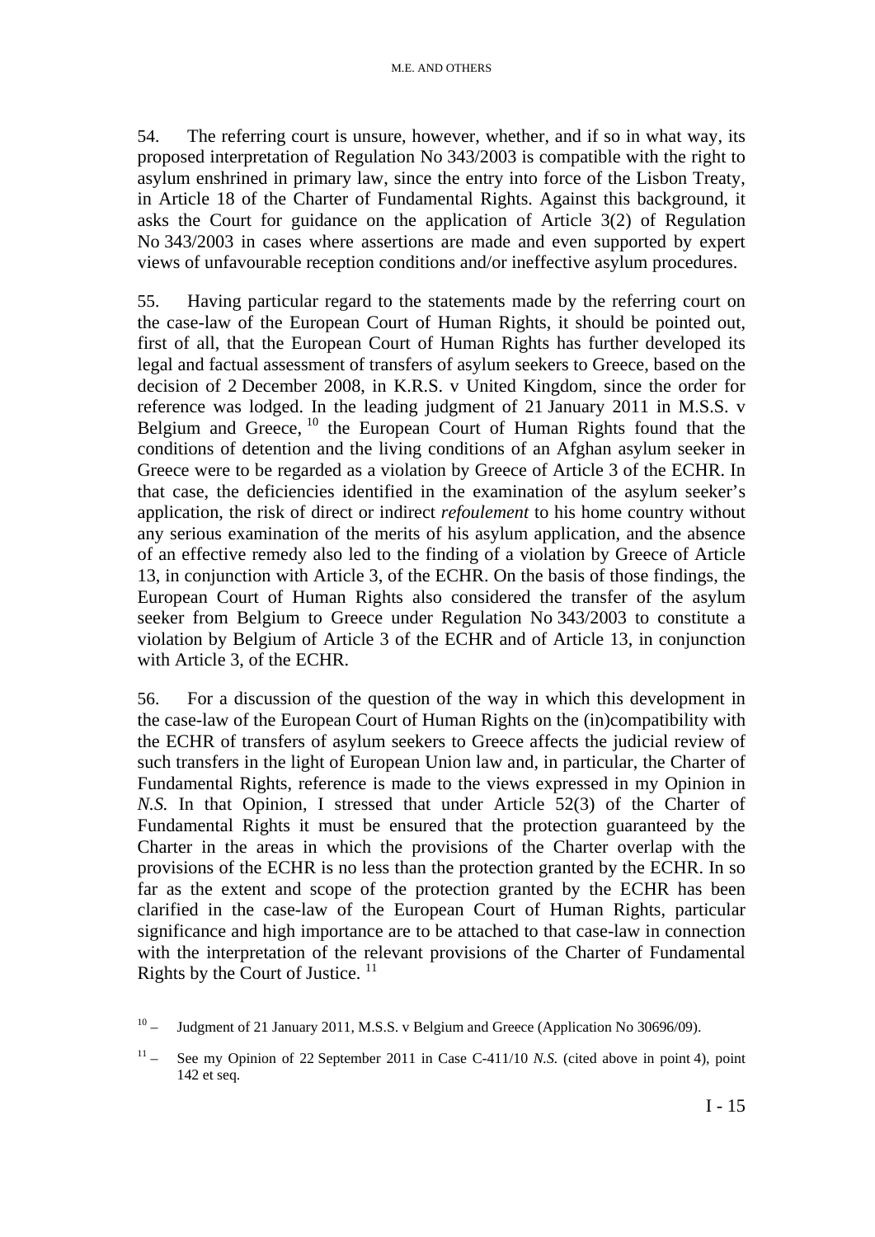54. The referring court is unsure, however, whether, and if so in what way, its proposed interpretation of Regulation No 343/2003 is compatible with the right to asylum enshrined in primary law, since the entry into force of the Lisbon Treaty, in Article 18 of the Charter of Fundamental Rights. Against this background, it asks the Court for guidance on the application of Article 3(2) of Regulation No 343/2003 in cases where assertions are made and even supported by expert views of unfavourable reception conditions and/or ineffective asylum procedures.

55. Having particular regard to the statements made by the referring court on the case-law of the European Court of Human Rights, it should be pointed out, first of all, that the European Court of Human Rights has further developed its legal and factual assessment of transfers of asylum seekers to Greece, based on the decision of 2 December 2008, in K.R.S. v United Kingdom, since the order for reference was lodged. In the leading judgment of 21 January 2011 in M.S.S. v Belgium and Greece, <sup>10</sup> the European Court of Human Rights found that the conditions of detention and the living conditions of an Afghan asylum seeker in Greece were to be regarded as a violation by Greece of Article 3 of the ECHR. In that case, the deficiencies identified in the examination of the asylum seeker's application, the risk of direct or indirect *refoulement* to his home country without any serious examination of the merits of his asylum application, and the absence of an effective remedy also led to the finding of a violation by Greece of Article 13, in conjunction with Article 3, of the ECHR. On the basis of those findings, the European Court of Human Rights also considered the transfer of the asylum seeker from Belgium to Greece under Regulation No 343/2003 to constitute a violation by Belgium of Article 3 of the ECHR and of Article 13, in conjunction with Article 3, of the ECHR.

56. For a discussion of the question of the way in which this development in the case-law of the European Court of Human Rights on the (in)compatibility with the ECHR of transfers of asylum seekers to Greece affects the judicial review of such transfers in the light of European Union law and, in particular, the Charter of Fundamental Rights, reference is made to the views expressed in my Opinion in *N.S.* In that Opinion, I stressed that under Article 52(3) of the Charter of Fundamental Rights it must be ensured that the protection guaranteed by the Charter in the areas in which the provisions of the Charter overlap with the provisions of the ECHR is no less than the protection granted by the ECHR. In so far as the extent and scope of the protection granted by the ECHR has been clarified in the case-law of the European Court of Human Rights, particular significance and high importance are to be attached to that case-law in connection with the interpretation of the relevant provisions of the Charter of Fundamental Rights by the Court of Justice.  $11$ 

 $10 -$  Judgment of 21 January 2011, M.S.S. v Belgium and Greece (Application No 30696/09).

<sup>&</sup>lt;sup>11</sup> – See my Opinion of 22 September 2011 in Case C-411/10 *N.S.* (cited above in point 4), point 142 et seq.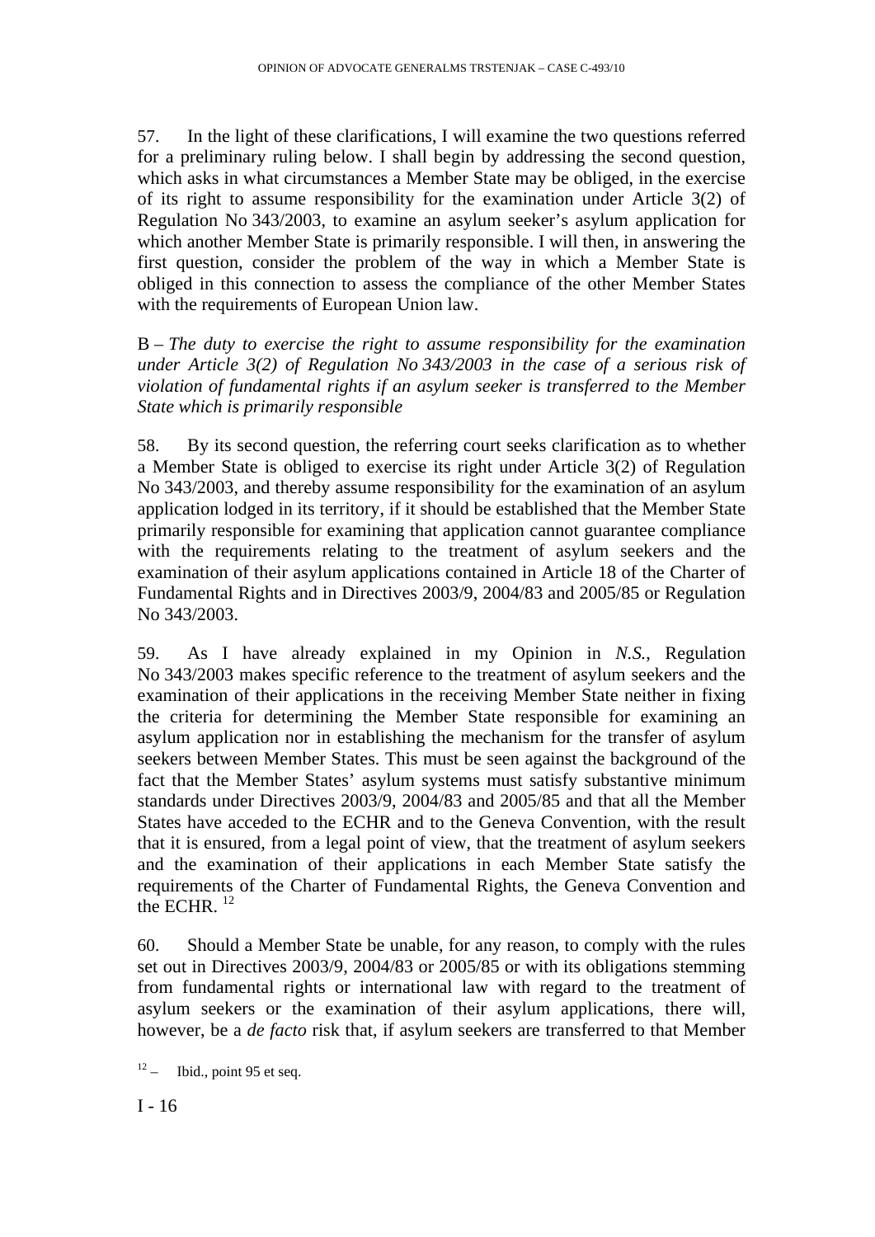57. In the light of these clarifications, I will examine the two questions referred for a preliminary ruling below. I shall begin by addressing the second question, which asks in what circumstances a Member State may be obliged, in the exercise of its right to assume responsibility for the examination under Article 3(2) of Regulation No 343/2003, to examine an asylum seeker's asylum application for which another Member State is primarily responsible. I will then, in answering the first question, consider the problem of the way in which a Member State is obliged in this connection to assess the compliance of the other Member States with the requirements of European Union law.

B – *The duty to exercise the right to assume responsibility for the examination under Article 3(2) of Regulation No 343/2003 in the case of a serious risk of violation of fundamental rights if an asylum seeker is transferred to the Member State which is primarily responsible* 

58. By its second question, the referring court seeks clarification as to whether a Member State is obliged to exercise its right under Article 3(2) of Regulation No 343/2003, and thereby assume responsibility for the examination of an asylum application lodged in its territory, if it should be established that the Member State primarily responsible for examining that application cannot guarantee compliance with the requirements relating to the treatment of asylum seekers and the examination of their asylum applications contained in Article 18 of the Charter of Fundamental Rights and in Directives 2003/9, 2004/83 and 2005/85 or Regulation No 343/2003.

59. As I have already explained in my Opinion in *N.S.*, Regulation No 343/2003 makes specific reference to the treatment of asylum seekers and the examination of their applications in the receiving Member State neither in fixing the criteria for determining the Member State responsible for examining an asylum application nor in establishing the mechanism for the transfer of asylum seekers between Member States. This must be seen against the background of the fact that the Member States' asylum systems must satisfy substantive minimum standards under Directives 2003/9, 2004/83 and 2005/85 and that all the Member States have acceded to the ECHR and to the Geneva Convention, with the result that it is ensured, from a legal point of view, that the treatment of asylum seekers and the examination of their applications in each Member State satisfy the requirements of the Charter of Fundamental Rights, the Geneva Convention and the ECHR.<sup>12</sup>

60. Should a Member State be unable, for any reason, to comply with the rules set out in Directives 2003/9, 2004/83 or 2005/85 or with its obligations stemming from fundamental rights or international law with regard to the treatment of asylum seekers or the examination of their asylum applications, there will, however, be a *de facto* risk that, if asylum seekers are transferred to that Member

 $12 -$  Ibid., point 95 et seq.

 $I - 16$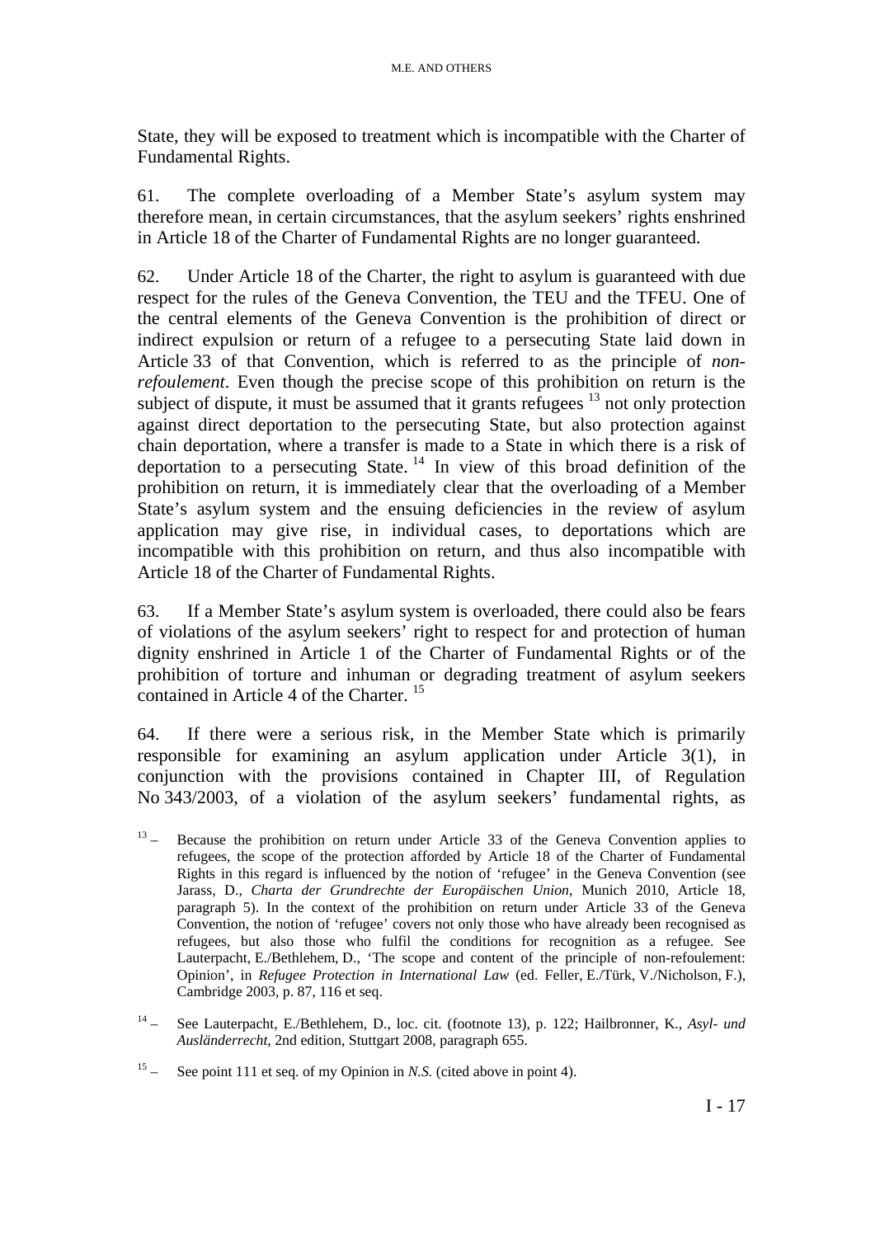State, they will be exposed to treatment which is incompatible with the Charter of Fundamental Rights.

61. The complete overloading of a Member State's asylum system may therefore mean, in certain circumstances, that the asylum seekers' rights enshrined in Article 18 of the Charter of Fundamental Rights are no longer guaranteed.

62. Under Article 18 of the Charter, the right to asylum is guaranteed with due respect for the rules of the Geneva Convention, the TEU and the TFEU. One of the central elements of the Geneva Convention is the prohibition of direct or indirect expulsion or return of a refugee to a persecuting State laid down in Article 33 of that Convention, which is referred to as the principle of *nonrefoulement*. Even though the precise scope of this prohibition on return is the subject of dispute, it must be assumed that it grants refugees <sup>13</sup> not only protection against direct deportation to the persecuting State, but also protection against chain deportation, where a transfer is made to a State in which there is a risk of deportation to a persecuting State.<sup>14</sup> In view of this broad definition of the prohibition on return, it is immediately clear that the overloading of a Member State's asylum system and the ensuing deficiencies in the review of asylum application may give rise, in individual cases, to deportations which are incompatible with this prohibition on return, and thus also incompatible with Article 18 of the Charter of Fundamental Rights.

63. If a Member State's asylum system is overloaded, there could also be fears of violations of the asylum seekers' right to respect for and protection of human dignity enshrined in Article 1 of the Charter of Fundamental Rights or of the prohibition of torture and inhuman or degrading treatment of asylum seekers contained in Article 4 of the Charter.<sup>15</sup>

64. If there were a serious risk, in the Member State which is primarily responsible for examining an asylum application under Article 3(1), in conjunction with the provisions contained in Chapter III, of Regulation No 343/2003, of a violation of the asylum seekers' fundamental rights, as

- $13 -$  Because the prohibition on return under Article 33 of the Geneva Convention applies to refugees, the scope of the protection afforded by Article 18 of the Charter of Fundamental Rights in this regard is influenced by the notion of 'refugee' in the Geneva Convention (see Jarass, D., *Charta der Grundrechte der Europäischen Union*, Munich 2010, Article 18, paragraph 5). In the context of the prohibition on return under Article 33 of the Geneva Convention, the notion of 'refugee' covers not only those who have already been recognised as refugees, but also those who fulfil the conditions for recognition as a refugee. See Lauterpacht, E./Bethlehem, D., 'The scope and content of the principle of non-refoulement: Opinion', in *Refugee Protection in International Law* (ed. Feller, E./Türk, V./Nicholson, F.), Cambridge 2003, p. 87, 116 et seq.
- 14 See Lauterpacht, E./Bethlehem, D., loc. cit. (footnote 13), p. 122; Hailbronner, K., *Asyl- und Ausländerrecht*, 2nd edition, Stuttgart 2008, paragraph 655.

15 – See point 111 et seq. of my Opinion in *N.S.* (cited above in point 4).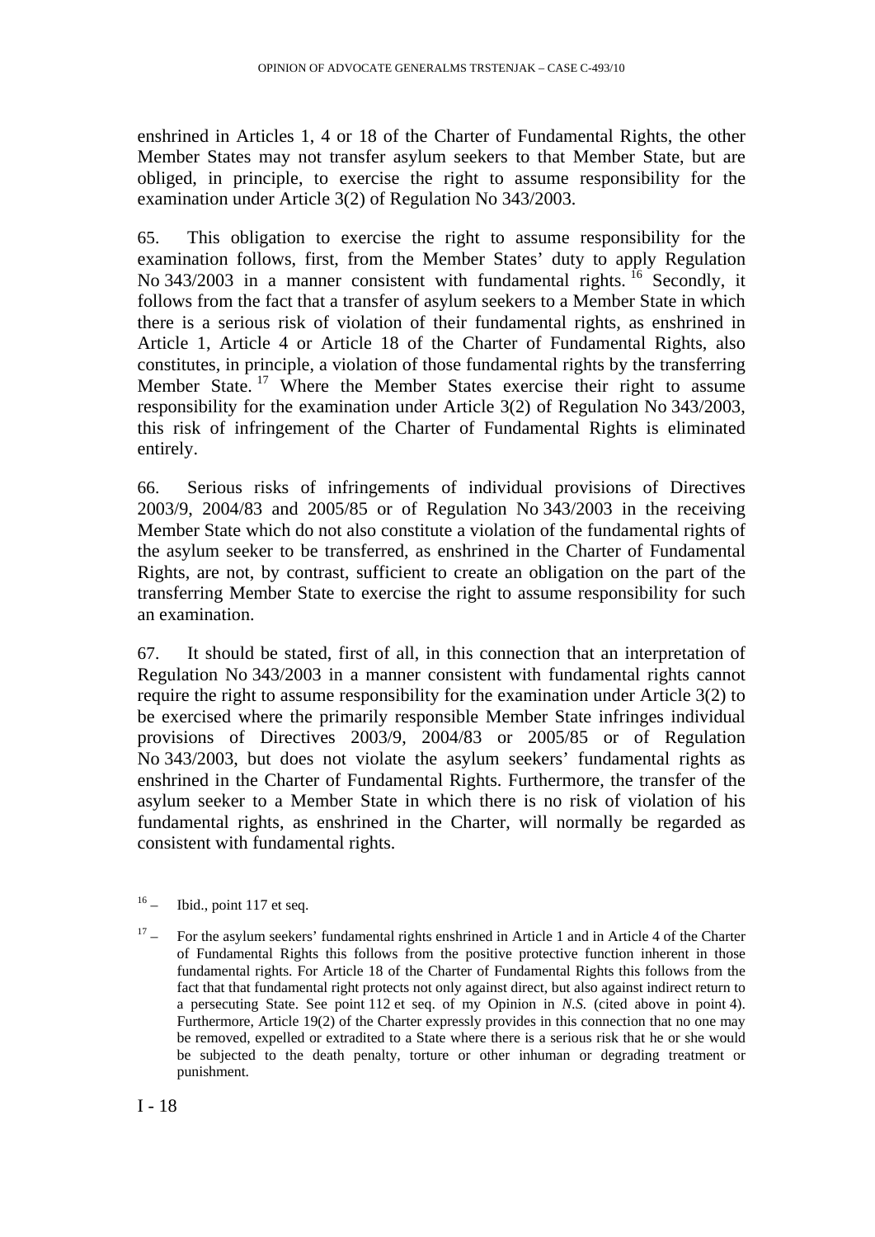enshrined in Articles 1, 4 or 18 of the Charter of Fundamental Rights, the other Member States may not transfer asylum seekers to that Member State, but are obliged, in principle, to exercise the right to assume responsibility for the examination under Article 3(2) of Regulation No 343/2003.

65. This obligation to exercise the right to assume responsibility for the examination follows, first, from the Member States' duty to apply Regulation No 343/2003 in a manner consistent with fundamental rights. <sup>16</sup> Secondly, it follows from the fact that a transfer of asylum seekers to a Member State in which there is a serious risk of violation of their fundamental rights, as enshrined in Article 1, Article 4 or Article 18 of the Charter of Fundamental Rights, also constitutes, in principle, a violation of those fundamental rights by the transferring Member State.<sup>17</sup> Where the Member States exercise their right to assume responsibility for the examination under Article 3(2) of Regulation No 343/2003, this risk of infringement of the Charter of Fundamental Rights is eliminated entirely.

66. Serious risks of infringements of individual provisions of Directives 2003/9, 2004/83 and 2005/85 or of Regulation No 343/2003 in the receiving Member State which do not also constitute a violation of the fundamental rights of the asylum seeker to be transferred, as enshrined in the Charter of Fundamental Rights, are not, by contrast, sufficient to create an obligation on the part of the transferring Member State to exercise the right to assume responsibility for such an examination.

67. It should be stated, first of all, in this connection that an interpretation of Regulation No 343/2003 in a manner consistent with fundamental rights cannot require the right to assume responsibility for the examination under Article 3(2) to be exercised where the primarily responsible Member State infringes individual provisions of Directives 2003/9, 2004/83 or 2005/85 or of Regulation No 343/2003, but does not violate the asylum seekers' fundamental rights as enshrined in the Charter of Fundamental Rights. Furthermore, the transfer of the asylum seeker to a Member State in which there is no risk of violation of his fundamental rights, as enshrined in the Charter, will normally be regarded as consistent with fundamental rights.

 $16 -$  Ibid., point 117 et seq.

<sup>17 –</sup> For the asylum seekers' fundamental rights enshrined in Article 1 and in Article 4 of the Charter of Fundamental Rights this follows from the positive protective function inherent in those fundamental rights. For Article 18 of the Charter of Fundamental Rights this follows from the fact that that fundamental right protects not only against direct, but also against indirect return to a persecuting State. See point 112 et seq. of my Opinion in *N.S.* (cited above in point 4). Furthermore, Article 19(2) of the Charter expressly provides in this connection that no one may be removed, expelled or extradited to a State where there is a serious risk that he or she would be subjected to the death penalty, torture or other inhuman or degrading treatment or punishment.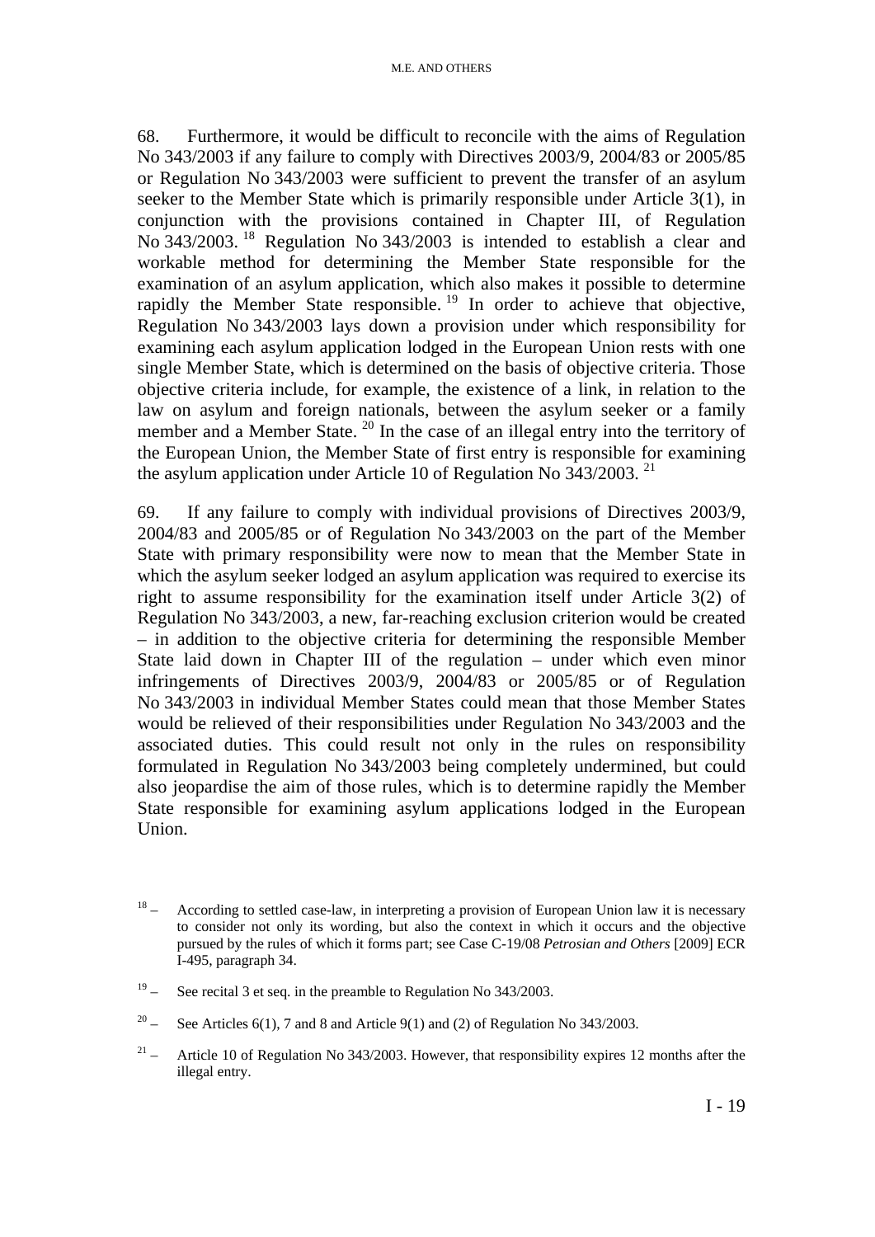68. Furthermore, it would be difficult to reconcile with the aims of Regulation No 343/2003 if any failure to comply with Directives 2003/9, 2004/83 or 2005/85 or Regulation No 343/2003 were sufficient to prevent the transfer of an asylum seeker to the Member State which is primarily responsible under Article 3(1), in conjunction with the provisions contained in Chapter III, of Regulation No 343/2003. 18 Regulation No 343/2003 is intended to establish a clear and workable method for determining the Member State responsible for the examination of an asylum application, which also makes it possible to determine rapidly the Member State responsible.<sup>19</sup> In order to achieve that objective, Regulation No 343/2003 lays down a provision under which responsibility for examining each asylum application lodged in the European Union rests with one single Member State, which is determined on the basis of objective criteria. Those objective criteria include, for example, the existence of a link, in relation to the law on asylum and foreign nationals, between the asylum seeker or a family member and a Member State. <sup>20</sup> In the case of an illegal entry into the territory of the European Union, the Member State of first entry is responsible for examining the asylum application under Article 10 of Regulation No  $343/2003$ . <sup>21</sup>

69. If any failure to comply with individual provisions of Directives 2003/9, 2004/83 and 2005/85 or of Regulation No 343/2003 on the part of the Member State with primary responsibility were now to mean that the Member State in which the asylum seeker lodged an asylum application was required to exercise its right to assume responsibility for the examination itself under Article 3(2) of Regulation No 343/2003, a new, far-reaching exclusion criterion would be created – in addition to the objective criteria for determining the responsible Member State laid down in Chapter III of the regulation – under which even minor infringements of Directives 2003/9, 2004/83 or 2005/85 or of Regulation No 343/2003 in individual Member States could mean that those Member States would be relieved of their responsibilities under Regulation No 343/2003 and the associated duties. This could result not only in the rules on responsibility formulated in Regulation No 343/2003 being completely undermined, but could also jeopardise the aim of those rules, which is to determine rapidly the Member State responsible for examining asylum applications lodged in the European Union.

- $18 -$  According to settled case-law, in interpreting a provision of European Union law it is necessary to consider not only its wording, but also the context in which it occurs and the objective pursued by the rules of which it forms part; see Case C-19/08 *Petrosian and Others* [2009] ECR I-495, paragraph 34.
- $19 -$  See recital 3 et seq. in the preamble to Regulation No 343/2003.
- <sup>20</sup> See Articles 6(1), 7 and 8 and Article 9(1) and (2) of Regulation No 343/2003.
- <sup>21</sup> Article 10 of Regulation No 343/2003. However, that responsibility expires 12 months after the illegal entry.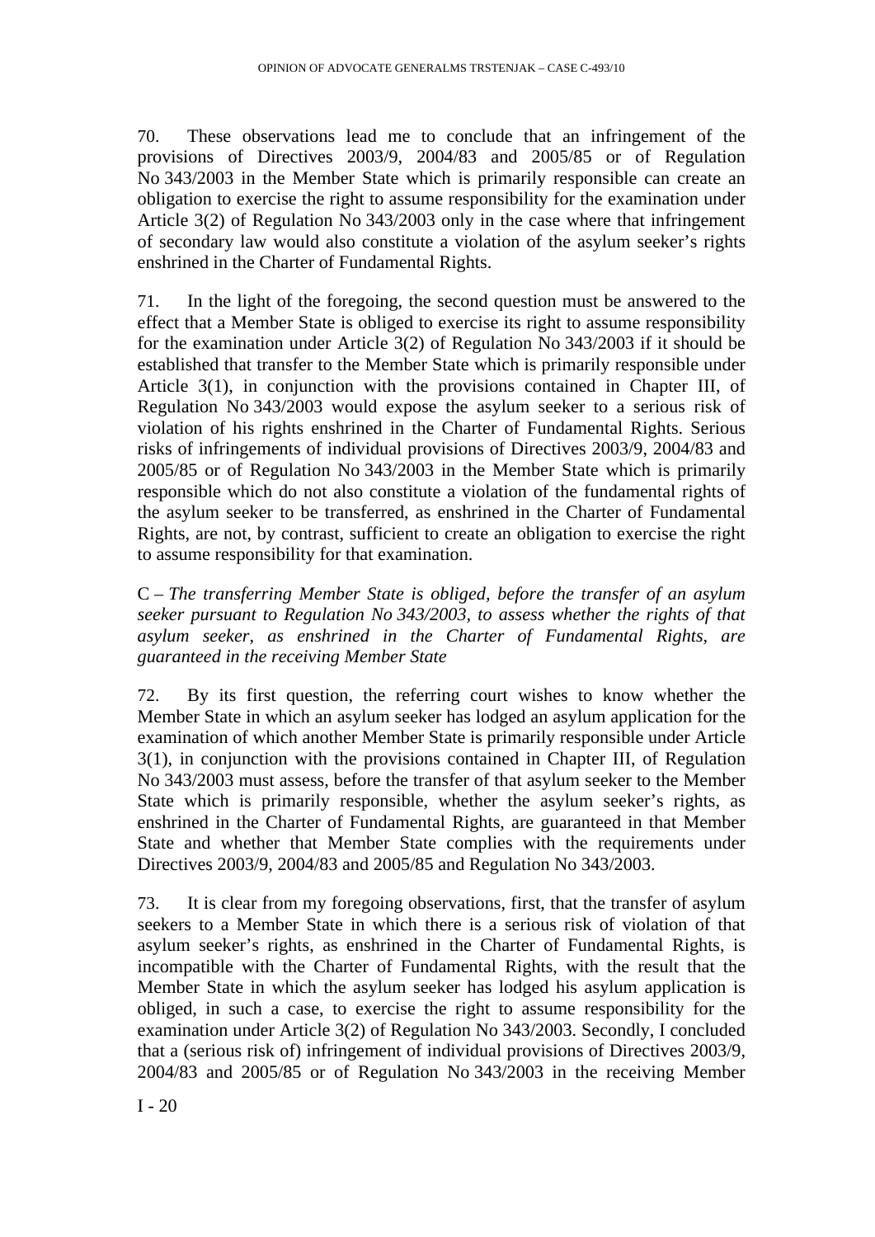70. These observations lead me to conclude that an infringement of the provisions of Directives 2003/9, 2004/83 and 2005/85 or of Regulation No 343/2003 in the Member State which is primarily responsible can create an obligation to exercise the right to assume responsibility for the examination under Article 3(2) of Regulation No 343/2003 only in the case where that infringement of secondary law would also constitute a violation of the asylum seeker's rights enshrined in the Charter of Fundamental Rights.

71. In the light of the foregoing, the second question must be answered to the effect that a Member State is obliged to exercise its right to assume responsibility for the examination under Article 3(2) of Regulation No 343/2003 if it should be established that transfer to the Member State which is primarily responsible under Article 3(1), in conjunction with the provisions contained in Chapter III, of Regulation No 343/2003 would expose the asylum seeker to a serious risk of violation of his rights enshrined in the Charter of Fundamental Rights. Serious risks of infringements of individual provisions of Directives 2003/9, 2004/83 and 2005/85 or of Regulation No 343/2003 in the Member State which is primarily responsible which do not also constitute a violation of the fundamental rights of the asylum seeker to be transferred, as enshrined in the Charter of Fundamental Rights, are not, by contrast, sufficient to create an obligation to exercise the right to assume responsibility for that examination.

C – *The transferring Member State is obliged, before the transfer of an asylum seeker pursuant to Regulation No 343/2003, to assess whether the rights of that asylum seeker, as enshrined in the Charter of Fundamental Rights, are guaranteed in the receiving Member State* 

72. By its first question, the referring court wishes to know whether the Member State in which an asylum seeker has lodged an asylum application for the examination of which another Member State is primarily responsible under Article 3(1), in conjunction with the provisions contained in Chapter III, of Regulation No 343/2003 must assess, before the transfer of that asylum seeker to the Member State which is primarily responsible, whether the asylum seeker's rights, as enshrined in the Charter of Fundamental Rights, are guaranteed in that Member State and whether that Member State complies with the requirements under Directives 2003/9, 2004/83 and 2005/85 and Regulation No 343/2003.

73. It is clear from my foregoing observations, first, that the transfer of asylum seekers to a Member State in which there is a serious risk of violation of that asylum seeker's rights, as enshrined in the Charter of Fundamental Rights, is incompatible with the Charter of Fundamental Rights, with the result that the Member State in which the asylum seeker has lodged his asylum application is obliged, in such a case, to exercise the right to assume responsibility for the examination under Article 3(2) of Regulation No 343/2003. Secondly, I concluded that a (serious risk of) infringement of individual provisions of Directives 2003/9, 2004/83 and 2005/85 or of Regulation No 343/2003 in the receiving Member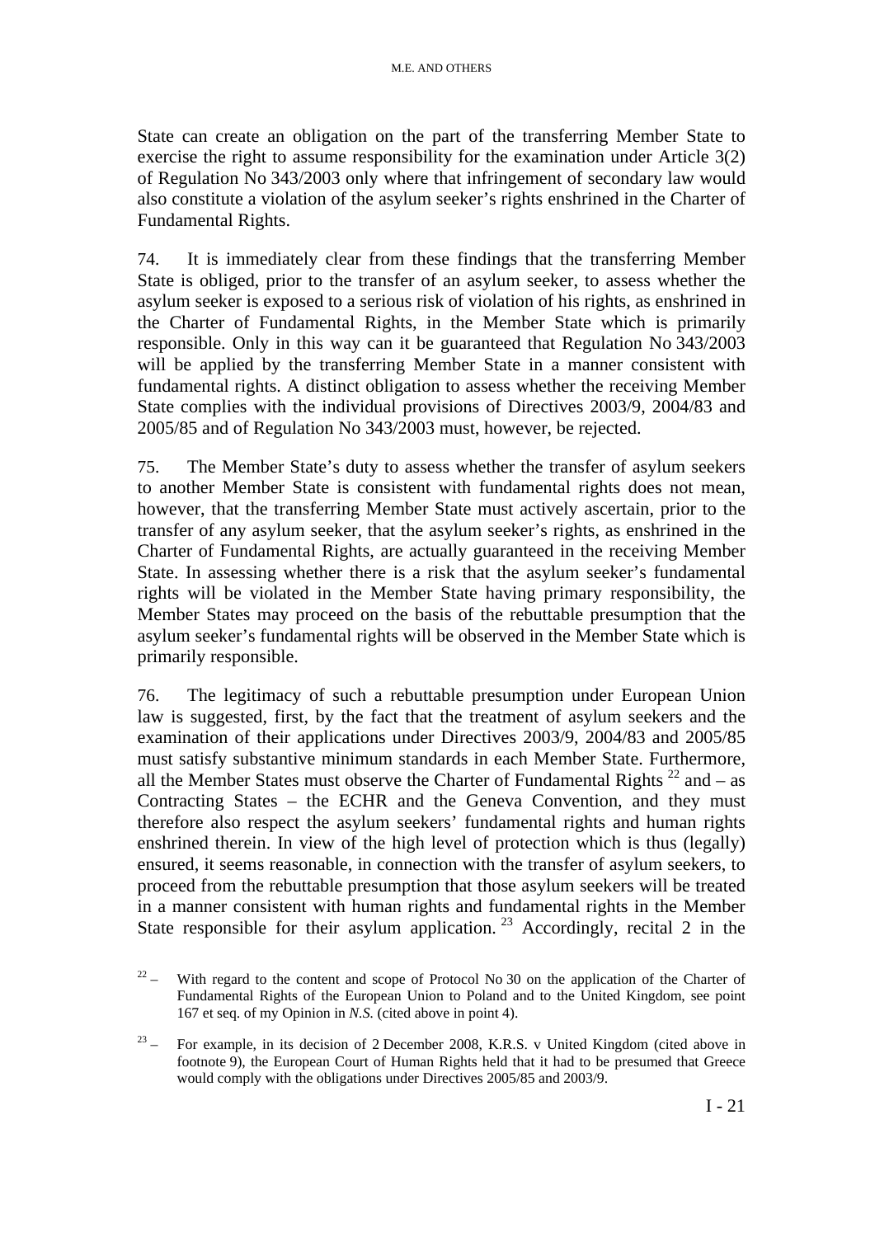State can create an obligation on the part of the transferring Member State to exercise the right to assume responsibility for the examination under Article 3(2) of Regulation No 343/2003 only where that infringement of secondary law would also constitute a violation of the asylum seeker's rights enshrined in the Charter of Fundamental Rights.

74. It is immediately clear from these findings that the transferring Member State is obliged, prior to the transfer of an asylum seeker, to assess whether the asylum seeker is exposed to a serious risk of violation of his rights, as enshrined in the Charter of Fundamental Rights, in the Member State which is primarily responsible. Only in this way can it be guaranteed that Regulation No 343/2003 will be applied by the transferring Member State in a manner consistent with fundamental rights. A distinct obligation to assess whether the receiving Member State complies with the individual provisions of Directives 2003/9, 2004/83 and 2005/85 and of Regulation No 343/2003 must, however, be rejected.

75. The Member State's duty to assess whether the transfer of asylum seekers to another Member State is consistent with fundamental rights does not mean, however, that the transferring Member State must actively ascertain, prior to the transfer of any asylum seeker, that the asylum seeker's rights, as enshrined in the Charter of Fundamental Rights, are actually guaranteed in the receiving Member State. In assessing whether there is a risk that the asylum seeker's fundamental rights will be violated in the Member State having primary responsibility, the Member States may proceed on the basis of the rebuttable presumption that the asylum seeker's fundamental rights will be observed in the Member State which is primarily responsible.

76. The legitimacy of such a rebuttable presumption under European Union law is suggested, first, by the fact that the treatment of asylum seekers and the examination of their applications under Directives 2003/9, 2004/83 and 2005/85 must satisfy substantive minimum standards in each Member State. Furthermore, all the Member States must observe the Charter of Fundamental Rights  $^{22}$  and – as Contracting States – the ECHR and the Geneva Convention, and they must therefore also respect the asylum seekers' fundamental rights and human rights enshrined therein. In view of the high level of protection which is thus (legally) ensured, it seems reasonable, in connection with the transfer of asylum seekers, to proceed from the rebuttable presumption that those asylum seekers will be treated in a manner consistent with human rights and fundamental rights in the Member State responsible for their asylum application.<sup>23</sup> Accordingly, recital 2 in the

<sup>&</sup>lt;sup>22</sup> – With regard to the content and scope of Protocol No 30 on the application of the Charter of Fundamental Rights of the European Union to Poland and to the United Kingdom, see point 167 et seq. of my Opinion in *N.S.* (cited above in point 4).

 $23 -$  For example, in its decision of 2 December 2008, K.R.S. v United Kingdom (cited above in footnote 9), the European Court of Human Rights held that it had to be presumed that Greece would comply with the obligations under Directives 2005/85 and 2003/9.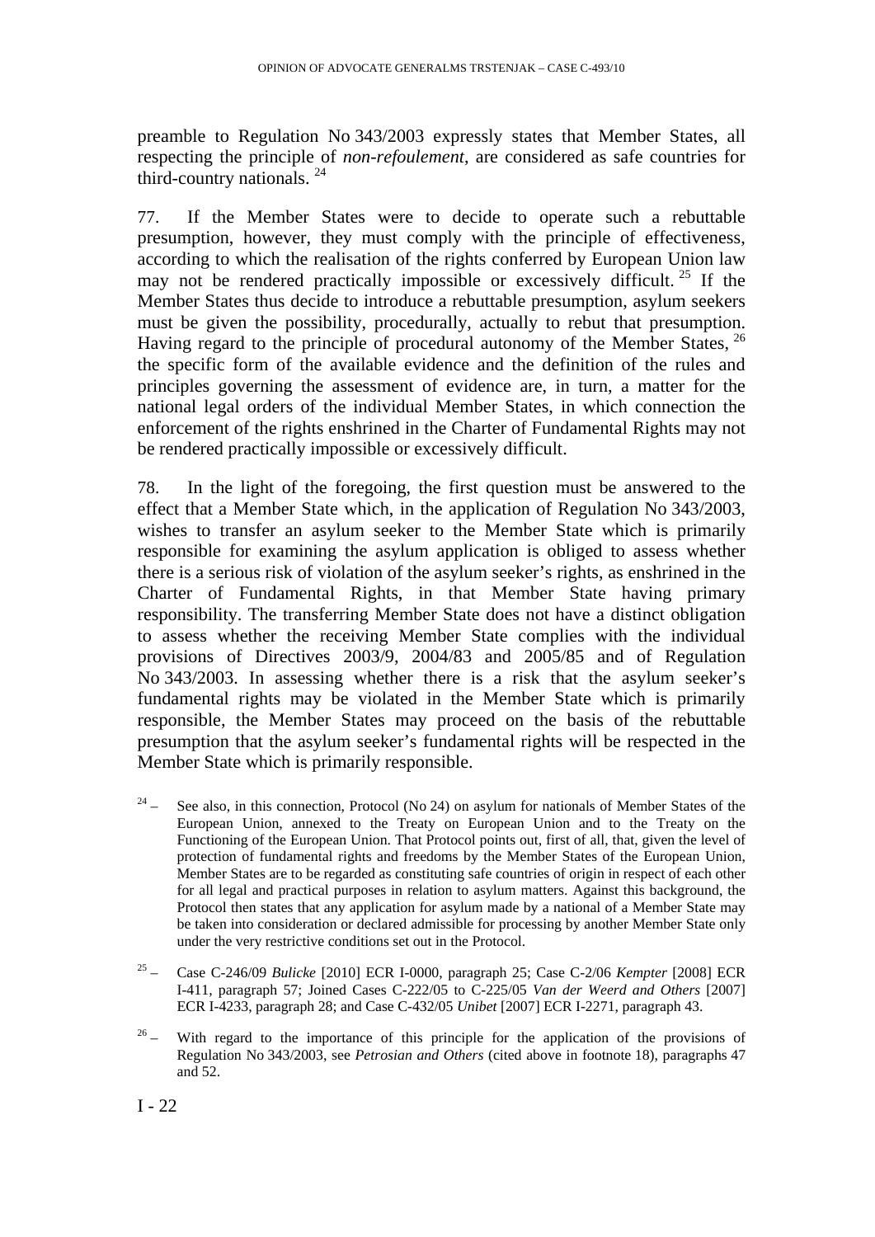preamble to Regulation No 343/2003 expressly states that Member States, all respecting the principle of *non-refoulement*, are considered as safe countries for third-country nationals.  $24$ 

77. If the Member States were to decide to operate such a rebuttable presumption, however, they must comply with the principle of effectiveness, according to which the realisation of the rights conferred by European Union law may not be rendered practically impossible or excessively difficult.<sup>25</sup> If the Member States thus decide to introduce a rebuttable presumption, asylum seekers must be given the possibility, procedurally, actually to rebut that presumption. Having regard to the principle of procedural autonomy of the Member States, <sup>26</sup> the specific form of the available evidence and the definition of the rules and principles governing the assessment of evidence are, in turn, a matter for the national legal orders of the individual Member States, in which connection the enforcement of the rights enshrined in the Charter of Fundamental Rights may not be rendered practically impossible or excessively difficult.

78. In the light of the foregoing, the first question must be answered to the effect that a Member State which, in the application of Regulation No 343/2003, wishes to transfer an asylum seeker to the Member State which is primarily responsible for examining the asylum application is obliged to assess whether there is a serious risk of violation of the asylum seeker's rights, as enshrined in the Charter of Fundamental Rights, in that Member State having primary responsibility. The transferring Member State does not have a distinct obligation to assess whether the receiving Member State complies with the individual provisions of Directives 2003/9, 2004/83 and 2005/85 and of Regulation No 343/2003. In assessing whether there is a risk that the asylum seeker's fundamental rights may be violated in the Member State which is primarily responsible, the Member States may proceed on the basis of the rebuttable presumption that the asylum seeker's fundamental rights will be respected in the Member State which is primarily responsible.

- <sup>24</sup> See also, in this connection, Protocol (No 24) on asylum for nationals of Member States of the European Union, annexed to the Treaty on European Union and to the Treaty on the Functioning of the European Union. That Protocol points out, first of all, that, given the level of protection of fundamental rights and freedoms by the Member States of the European Union, Member States are to be regarded as constituting safe countries of origin in respect of each other for all legal and practical purposes in relation to asylum matters. Against this background, the Protocol then states that any application for asylum made by a national of a Member State may be taken into consideration or declared admissible for processing by another Member State only under the very restrictive conditions set out in the Protocol.
- 25 Case C-246/09 *Bulicke* [2010] ECR I-0000, paragraph 25; Case C-2/06 *Kempter* [2008] ECR I-411, paragraph 57; Joined Cases C-222/05 to C-225/05 *Van der Weerd and Others* [2007] ECR I-4233, paragraph 28; and Case C-432/05 *Unibet* [2007] ECR I-2271, paragraph 43.
- $26 -$  With regard to the importance of this principle for the application of the provisions of Regulation No 343/2003, see *Petrosian and Others* (cited above in footnote 18), paragraphs 47 and 52.